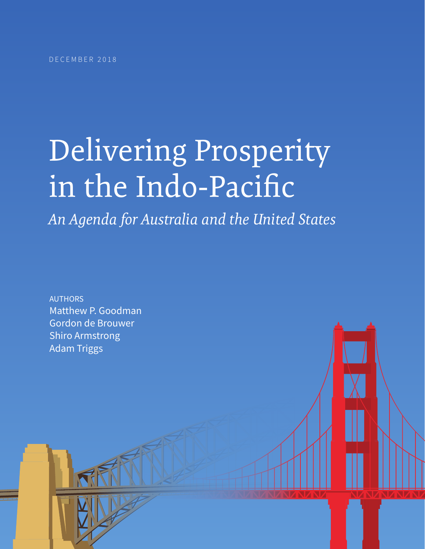# Delivering Prosperity in the Indo-Pacific

*An Agenda for Australia and the United States*

AUTHORS Matthew P. Goodman Gordon de Brouwer Shiro Armstrong Adam Triggs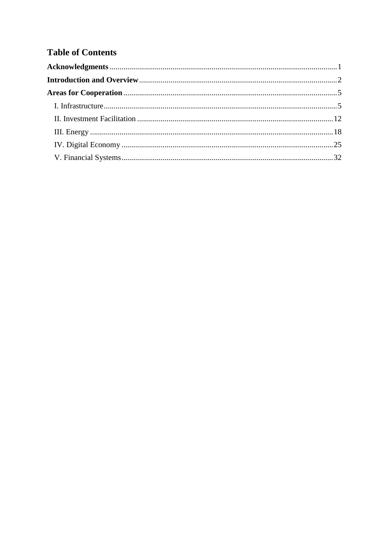# **Table of Contents**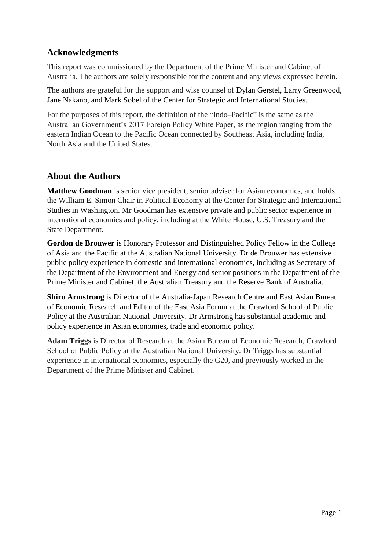# <span id="page-2-0"></span>**Acknowledgments**

This report was commissioned by the Department of the Prime Minister and Cabinet of Australia. The authors are solely responsible for the content and any views expressed herein.

The authors are grateful for the support and wise counsel of Dylan Gerstel, Larry Greenwood, Jane Nakano, and Mark Sobel of the Center for Strategic and International Studies.

For the purposes of this report, the definition of the "Indo–Pacific" is the same as the Australian Government's 2017 Foreign Policy White Paper, as the region ranging from the eastern Indian Ocean to the Pacific Ocean connected by Southeast Asia, including India, North Asia and the United States.

## **About the Authors**

**Matthew Goodman** is senior vice president, senior adviser for Asian economics, and holds the William E. Simon Chair in Political Economy at the Center for Strategic and International Studies in Washington. Mr Goodman has extensive private and public sector experience in international economics and policy, including at the White House, U.S. Treasury and the State Department.

**Gordon de Brouwer** is Honorary Professor and Distinguished Policy Fellow in the College of Asia and the Pacific at the Australian National University. Dr de Brouwer has extensive public policy experience in domestic and international economics, including as Secretary of the Department of the Environment and Energy and senior positions in the Department of the Prime Minister and Cabinet, the Australian Treasury and the Reserve Bank of Australia.

**Shiro Armstrong** is Director of the Australia-Japan Research Centre and East Asian Bureau of Economic Research and Editor of the East Asia Forum at the Crawford School of Public Policy at the Australian National University. Dr Armstrong has substantial academic and policy experience in Asian economies, trade and economic policy.

**Adam Triggs** is Director of Research at the Asian Bureau of Economic Research, Crawford School of Public Policy at the Australian National University. Dr Triggs has substantial experience in international economics, especially the G20, and previously worked in the Department of the Prime Minister and Cabinet.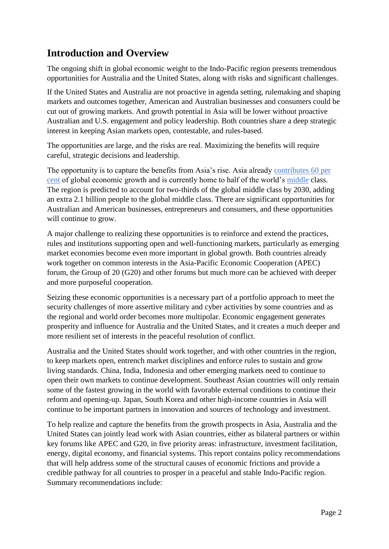# <span id="page-3-0"></span>**Introduction and Overview**

The ongoing shift in global economic weight to the Indo-Pacific region presents tremendous opportunities for Australia and the United States, along with risks and significant challenges.

If the United States and Australia are not proactive in agenda setting, rulemaking and shaping markets and outcomes together, American and Australian businesses and consumers could be cut out of growing markets. And growth potential in Asia will be lower without proactive Australian and U.S. engagement and policy leadership. Both countries share a deep strategic interest in keeping Asian markets open, contestable, and rules-based.

The opportunities are large, and the risks are real. Maximizing the benefits will require careful, strategic decisions and leadership.

The opportunity is to capture the benefits from Asia's rise. Asia already [contributes 60 per](https://www.adb.org/news/expanding-economies-asia-deliver-60-global-growth-adb)  [cent](https://www.adb.org/news/expanding-economies-asia-deliver-60-global-growth-adb) of global economic growth and is currently home to half of the world's [middle](https://www.brookings.edu/wp-content/uploads/2017/02/global_20170228_global-middle-class.pdf) class. The region is predicted to account for two-thirds of the global middle class by 2030, adding an extra 2.1 billion people to the global middle class. There are significant opportunities for Australian and American businesses, entrepreneurs and consumers, and these opportunities will continue to grow.

A major challenge to realizing these opportunities is to reinforce and extend the practices, rules and institutions supporting open and well-functioning markets, particularly as emerging market economies become even more important in global growth. Both countries already work together on common interests in the Asia-Pacific Economic Cooperation (APEC) forum, the Group of 20 (G20) and other forums but much more can be achieved with deeper and more purposeful cooperation.

Seizing these economic opportunities is a necessary part of a portfolio approach to meet the security challenges of more assertive military and cyber activities by some countries and as the regional and world order becomes more multipolar. Economic engagement generates prosperity and influence for Australia and the United States, and it creates a much deeper and more resilient set of interests in the peaceful resolution of conflict.

Australia and the United States should work together, and with other countries in the region, to keep markets open, entrench market disciplines and enforce rules to sustain and grow living standards. China, India, Indonesia and other emerging markets need to continue to open their own markets to continue development. Southeast Asian countries will only remain some of the fastest growing in the world with favorable external conditions to continue their reform and opening-up. Japan, South Korea and other high-income countries in Asia will continue to be important partners in innovation and sources of technology and investment.

To help realize and capture the benefits from the growth prospects in Asia, Australia and the United States can jointly lead work with Asian countries, either as bilateral partners or within key forums like APEC and G20, in five priority areas: infrastructure, investment facilitation, energy, digital economy, and financial systems. This report contains policy recommendations that will help address some of the structural causes of economic frictions and provide a credible pathway for all countries to prosper in a peaceful and stable Indo-Pacific region. Summary recommendations include: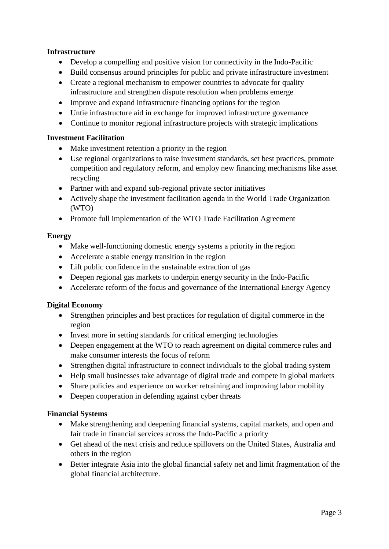#### **Infrastructure**

- Develop a compelling and positive vision for connectivity in the Indo-Pacific
- Build consensus around principles for public and private infrastructure investment
- Create a regional mechanism to empower countries to advocate for quality infrastructure and strengthen dispute resolution when problems emerge
- Improve and expand infrastructure financing options for the region
- Untie infrastructure aid in exchange for improved infrastructure governance
- Continue to monitor regional infrastructure projects with strategic implications

#### **Investment Facilitation**

- Make investment retention a priority in the region
- Use regional organizations to raise investment standards, set best practices, promote competition and regulatory reform, and employ new financing mechanisms like asset recycling
- Partner with and expand sub-regional private sector initiatives
- Actively shape the investment facilitation agenda in the World Trade Organization (WTO)
- Promote full implementation of the WTO Trade Facilitation Agreement

#### **Energy**

- Make well-functioning domestic energy systems a priority in the region
- Accelerate a stable energy transition in the region
- Lift public confidence in the sustainable extraction of gas
- Deepen regional gas markets to underpin energy security in the Indo-Pacific
- Accelerate reform of the focus and governance of the International Energy Agency

#### **Digital Economy**

- Strengthen principles and best practices for regulation of digital commerce in the region
- Invest more in setting standards for critical emerging technologies
- Deepen engagement at the WTO to reach agreement on digital commerce rules and make consumer interests the focus of reform
- Strengthen digital infrastructure to connect individuals to the global trading system
- Help small businesses take advantage of digital trade and compete in global markets
- Share policies and experience on worker retraining and improving labor mobility
- Deepen cooperation in defending against cyber threats

#### **Financial Systems**

- Make strengthening and deepening financial systems, capital markets, and open and fair trade in financial services across the Indo-Pacific a priority
- Get ahead of the next crisis and reduce spillovers on the United States, Australia and others in the region
- Better integrate Asia into the global financial safety net and limit fragmentation of the global financial architecture.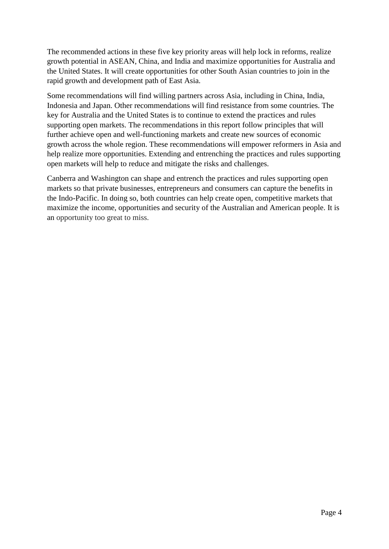The recommended actions in these five key priority areas will help lock in reforms, realize growth potential in ASEAN, China, and India and maximize opportunities for Australia and the United States. It will create opportunities for other South Asian countries to join in the rapid growth and development path of East Asia.

Some recommendations will find willing partners across Asia, including in China, India, Indonesia and Japan. Other recommendations will find resistance from some countries. The key for Australia and the United States is to continue to extend the practices and rules supporting open markets. The recommendations in this report follow principles that will further achieve open and well-functioning markets and create new sources of economic growth across the whole region. These recommendations will empower reformers in Asia and help realize more opportunities. Extending and entrenching the practices and rules supporting open markets will help to reduce and mitigate the risks and challenges.

Canberra and Washington can shape and entrench the practices and rules supporting open markets so that private businesses, entrepreneurs and consumers can capture the benefits in the Indo-Pacific. In doing so, both countries can help create open, competitive markets that maximize the income, opportunities and security of the Australian and American people. It is an opportunity too great to miss.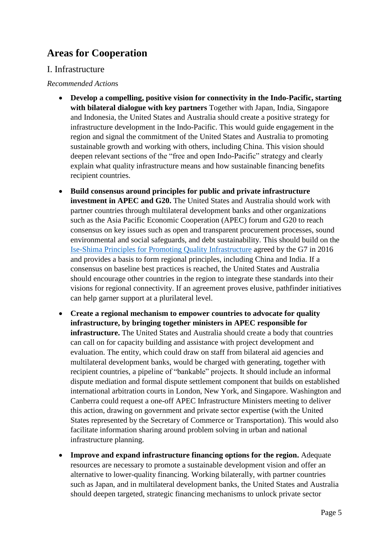# <span id="page-6-0"></span>**Areas for Cooperation**

### <span id="page-6-1"></span>I. Infrastructure

#### *Recommended Action*s

- **Develop a compelling, positive vision for connectivity in the Indo-Pacific, starting with bilateral dialogue with key partners** Together with Japan, India, Singapore and Indonesia, the United States and Australia should create a positive strategy for infrastructure development in the Indo-Pacific. This would guide engagement in the region and signal the commitment of the United States and Australia to promoting sustainable growth and working with others, including China. This vision should deepen relevant sections of the "free and open Indo-Pacific" strategy and clearly explain what quality infrastructure means and how sustainable financing benefits recipient countries.
- **Build consensus around principles for public and private infrastructure investment in APEC and G20.** The United States and Australia should work with partner countries through multilateral development banks and other organizations such as the Asia Pacific Economic Cooperation (APEC) forum and G20 to reach consensus on key issues such as open and transparent procurement processes, sound environmental and social safeguards, and debt sustainability. This should build on the [Ise-Shima Principles for Promoting Quality Infrastructure](https://www.mofa.go.jp/files/000196472.pdf) agreed by the G7 in 2016 and provides a basis to form regional principles, including China and India. If a consensus on baseline best practices is reached, the United States and Australia should encourage other countries in the region to integrate these standards into their visions for regional connectivity. If an agreement proves elusive, pathfinder initiatives can help garner support at a plurilateral level.
- **Create a regional mechanism to empower countries to advocate for quality infrastructure, by bringing together ministers in APEC responsible for infrastructure.** The United States and Australia should create a body that countries can call on for capacity building and assistance with project development and evaluation. The entity, which could draw on staff from bilateral aid agencies and multilateral development banks, would be charged with generating, together with recipient countries, a pipeline of "bankable" projects. It should include an informal dispute mediation and formal dispute settlement component that builds on established international arbitration courts in London, New York, and Singapore. Washington and Canberra could request a one-off APEC Infrastructure Ministers meeting to deliver this action, drawing on government and private sector expertise (with the United States represented by the Secretary of Commerce or Transportation). This would also facilitate information sharing around problem solving in urban and national infrastructure planning.
- **Improve and expand infrastructure financing options for the region.** Adequate resources are necessary to promote a sustainable development vision and offer an alternative to lower-quality financing. Working bilaterally, with partner countries such as Japan, and in multilateral development banks, the United States and Australia should deepen targeted, strategic financing mechanisms to unlock private sector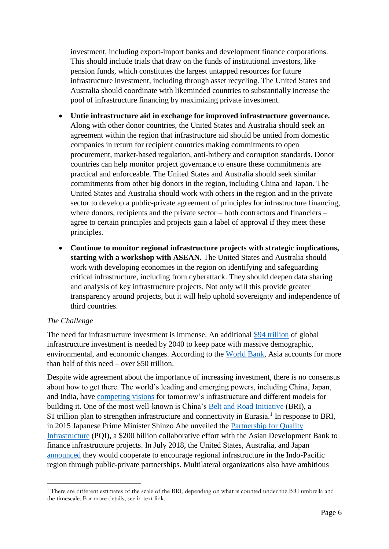investment, including export-import banks and development finance corporations. This should include trials that draw on the funds of institutional investors, like pension funds, which constitutes the largest untapped resources for future infrastructure investment, including through asset recycling. The United States and Australia should coordinate with likeminded countries to substantially increase the pool of infrastructure financing by maximizing private investment.

- **Untie infrastructure aid in exchange for improved infrastructure governance.** Along with other donor countries, the United States and Australia should seek an agreement within the region that infrastructure aid should be untied from domestic companies in return for recipient countries making commitments to open procurement, market-based regulation, anti-bribery and corruption standards. Donor countries can help monitor project governance to ensure these commitments are practical and enforceable. The United States and Australia should seek similar commitments from other big donors in the region, including China and Japan. The United States and Australia should work with others in the region and in the private sector to develop a public-private agreement of principles for infrastructure financing, where donors, recipients and the private sector – both contractors and financiers – agree to certain principles and projects gain a label of approval if they meet these principles.
- **Continue to monitor regional infrastructure projects with strategic implications, starting with a workshop with ASEAN.** The United States and Australia should work with developing economies in the region on identifying and safeguarding critical infrastructure, including from cyberattack. They should deepen data sharing and analysis of key infrastructure projects. Not only will this provide greater transparency around projects, but it will help uphold sovereignty and independence of third countries.

#### *The Challenge*

 $\overline{\phantom{a}}$ 

The need for infrastructure investment is immense. An additional [\\$94 trillion](https://www.reuters.com/article/us-global-infrastructure-report/world-needs-94-trillion-spent-on-infrastructure-by-2040-report-idUSKBN1AA1A3) of global infrastructure investment is needed by 2040 to keep pace with massive demographic, environmental, and economic changes. According to the [World Bank,](http://blogs.worldbank.org/ppps/forecasting-infrastructure-investment-needs-50-countries-7-sectors-through-2040) Asia accounts for more than half of this need – over \$50 trillion.

Despite wide agreement about the importance of increasing investment, there is no consensus about how to get there. The world's leading and emerging powers, including China, Japan, and India, have [competing visions](https://reconnectingasia.csis.org/analysis/competing-visions/) for tomorrow's infrastructure and different models for building it. One of the most well-known is China's [Belt and Road Initiative](https://www.csis.org/analysis/chinas-belt-and-road-initiative-five-years-later-0) (BRI), a \$1 trillion plan to strengthen infrastructure and connectivity in Eurasia.<sup>1</sup> In response to BRI, in 2015 Japanese Prime Minister Shinzo Abe unveiled the [Partnership for Quality](https://www.mofa.go.jp/policy/oda/page18_000076.html)  [Infrastructure](https://www.mofa.go.jp/policy/oda/page18_000076.html) (PQI), a \$200 billion collaborative effort with the Asian Development Bank to finance infrastructure projects. In July 2018, the United States, Australia, and Japan [announced](https://www.whitehouse.gov/briefings-statements/president-donald-j-trumps-administration-advancing-free-open-indo-pacific/) they would cooperate to encourage regional infrastructure in the Indo-Pacific region through public-private partnerships. Multilateral organizations also have ambitious

<sup>&</sup>lt;sup>1</sup> There are different estimates of the scale of the BRI, depending on what is counted under the BRI umbrella and the timescale. For more details, see in text link.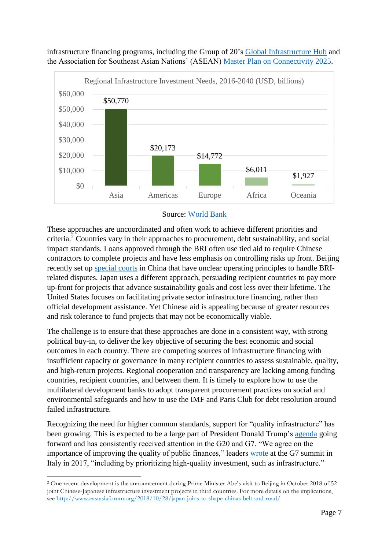

infrastructure financing programs, including the Group of 20's [Global Infrastructure Hub](https://www.gihub.org/) and the Association for Southeast Asian Nations' (ASEAN) [Master Plan on Connectivity 2025.](https://asean.org/storage/2016/09/Master-Plan-on-ASEAN-Connectivity-20251.pdf)



These approaches are uncoordinated and often work to achieve different priorities and criteria. <sup>2</sup> Countries vary in their approaches to procurement, debt sustainability, and social impact standards. Loans approved through the BRI often use tied aid to require Chinese contractors to complete projects and have less emphasis on controlling risks up front. Beijing recently set up [special courts](https://www.ft.com/content/b64d7f2e-8f4d-11e8-b639-7680cedcc421) in China that have unclear operating principles to handle BRIrelated disputes. Japan uses a different approach, persuading recipient countries to pay more up-front for projects that advance sustainability goals and cost less over their lifetime. The United States focuses on facilitating private sector infrastructure financing, rather than official development assistance. Yet Chinese aid is appealing because of greater resources and risk tolerance to fund projects that may not be economically viable.

The challenge is to ensure that these approaches are done in a consistent way, with strong political buy-in, to deliver the key objective of securing the best economic and social outcomes in each country. There are competing sources of infrastructure financing with insufficient capacity or governance in many recipient countries to assess sustainable, quality, and high-return projects. Regional cooperation and transparency are lacking among funding countries, recipient countries, and between them. It is timely to explore how to use the multilateral development banks to adopt transparent procurement practices on social and environmental safeguards and how to use the IMF and Paris Club for debt resolution around failed infrastructure.

Recognizing the need for higher common standards, support for "quality infrastructure" has been growing. This is expected to be a large part of President Donald Trump's [agenda](http://www.cnn.com/2017/12/27/politics/president-donald-trump-infrastructure-agenda-2018/index.html) going forward and has consistently received attention in the G20 and G7. "We agree on the importance of improving the quality of public finances," leaders [wrote](http://www.g7italy.it/sites/default/files/documents/G7%20Taormina%20Leaders) at the G7 summit in Italy in 2017, "including by prioritizing high-quality investment, such as infrastructure."

**<sup>.</sup>** <sup>2</sup> One recent development is the announcement during Prime Minister Abe's visit to Beijing in October 2018 of 52 joint Chinese-Japanese infrastructure investment projects in third countries. For more details on the implications, see<http://www.eastasiaforum.org/2018/10/28/japan-joins-to-shape-chinas-belt-and-road/>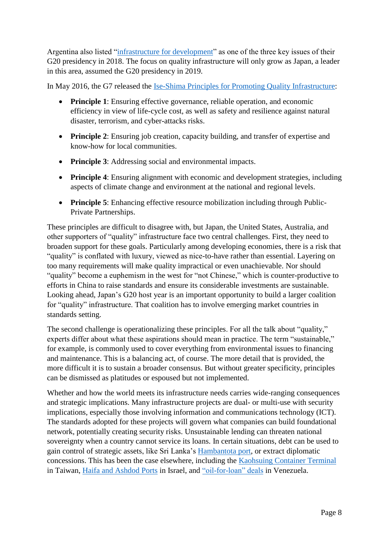Argentina also listed ["infrastructure for development"](https://g20.argentina.gob.ar/en/overview-argentinas-g20-presidency-2018) as one of the three key issues of their G20 presidency in 2018. The focus on quality infrastructure will only grow as Japan, a leader in this area, assumed the G20 presidency in 2019.

In May 2016, the G7 released the [Ise-Shima Principles for Promoting Quality Infrastructure:](https://www.mofa.go.jp/files/000196472.pdf)

- **Principle 1**: Ensuring effective governance, reliable operation, and economic efficiency in view of life-cycle cost, as well as safety and resilience against natural disaster, terrorism, and cyber-attacks risks.
- **Principle 2**: Ensuring job creation, capacity building, and transfer of expertise and know-how for local communities.
- **Principle 3**: Addressing social and environmental impacts.
- **Principle 4**: Ensuring alignment with economic and development strategies, including aspects of climate change and environment at the national and regional levels.
- **Principle 5**: Enhancing effective resource mobilization including through Public-Private Partnerships.

These principles are difficult to disagree with, but Japan, the United States, Australia, and other supporters of "quality" infrastructure face two central challenges. First, they need to broaden support for these goals. Particularly among developing economies, there is a risk that "quality" is conflated with luxury, viewed as nice-to-have rather than essential. Layering on too many requirements will make quality impractical or even unachievable. Nor should "quality" become a euphemism in the west for "not Chinese," which is counter-productive to efforts in China to raise standards and ensure its considerable investments are sustainable. Looking ahead, Japan's G20 host year is an important opportunity to build a larger coalition for "quality" infrastructure. That coalition has to involve emerging market countries in standards setting.

The second challenge is operationalizing these principles. For all the talk about "quality," experts differ about what these aspirations should mean in practice. The term "sustainable," for example, is commonly used to cover everything from environmental issues to financing and maintenance. This is a balancing act, of course. The more detail that is provided, the more difficult it is to sustain a broader consensus. But without greater specificity, principles can be dismissed as platitudes or espoused but not implemented.

Whether and how the world meets its infrastructure needs carries wide-ranging consequences and strategic implications. Many infrastructure projects are dual- or multi-use with security implications, especially those involving information and communications technology (ICT). The standards adopted for these projects will govern what companies can build foundational network, potentially creating security risks. Unsustainable lending can threaten national sovereignty when a country cannot service its loans. In certain situations, debt can be used to gain control of strategic assets, like Sri Lanka's [Hambantota port,](https://www.csis.org/analysis/game-loans-how-china-bought-hambantota) or extract diplomatic concessions. This has been the case elsewhere, including the [Kaohsuing Container Terminal](https://jamestown.org/program/chinas-relationship-chile-struggle-future-regime-pacific/) in Taiwan, [Haifa and Ashdod Ports](https://www.thetrumpet.com/17783-china-gains-control-of-israeli-ports) in Israel, and ["oil-for-loan" deals](https://www.csis.org/analysis/when-investment-hurts-chinese-influence-venezuela) in Venezuela.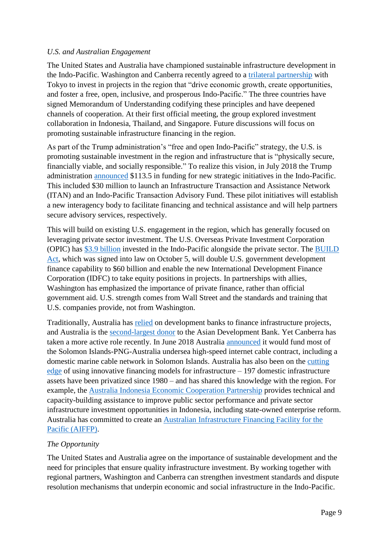#### *U.S. and Australian Engagement*

The United States and Australia have championed sustainable infrastructure development in the Indo-Pacific. Washington and Canberra recently agreed to a [trilateral partnership](https://www.opic.gov/press-releases/2018/us-japan-australia-announce-trilateral-partnership-indo-pacific-infrastructure-investment) with Tokyo to invest in projects in the region that "drive economic growth, create opportunities, and foster a free, open, inclusive, and prosperous Indo-Pacific." The three countries have signed Memorandum of Understanding codifying these principles and have deepened channels of cooperation. At their first official meeting, the group explored investment collaboration in Indonesia, Thailand, and Singapore. Future discussions will focus on promoting sustainable infrastructure financing in the region.

As part of the Trump administration's "free and open Indo-Pacific" strategy, the U.S. is promoting sustainable investment in the region and infrastructure that is "physically secure, financially viable, and socially responsible." To realize this vision, in July 2018 the Trump administration [announced](https://www.whitehouse.gov/briefings-statements/president-donald-j-trumps-administration-advancing-free-open-indo-pacific/) \$113.5 in funding for new strategic initiatives in the Indo-Pacific. This included \$30 million to launch an Infrastructure Transaction and Assistance Network (ITAN) and an Indo-Pacific Transaction Advisory Fund. These pilot initiatives will establish a new interagency body to facilitate financing and technical assistance and will help partners secure advisory services, respectively.

This will build on existing U.S. engagement in the region, which has generally focused on leveraging private sector investment. The U.S. Overseas Private Investment Corporation (OPIC) has [\\$3.9 billion](https://www.state.gov/secretary/remarks/2018/07/284722.htm) invested in the Indo-Pacific alongside the private sector. The [BUILD](https://www.congress.gov/bill/115th-congress/senate-bill/2463)  [Act,](https://www.congress.gov/bill/115th-congress/senate-bill/2463) which was signed into law on October 5, will double U.S. government development finance capability to \$60 billion and enable the new International Development Finance Corporation (IDFC) to take equity positions in projects. In partnerships with allies, Washington has emphasized the importance of private finance, rather than official government aid. U.S. strength comes from Wall Street and the standards and training that U.S. companies provide, not from Washington.

Traditionally, Australia has [relied](https://www.lowyinstitute.org/the-interpreter/the-new-us%E2%80%93japan%E2%80%93australia-infrastructure-fund) on development banks to finance infrastructure projects, and Australia is the [second-largest donor](https://www.adb.org/sites/default/files/institutional-document/184982/adf-12-donors-report.pdf) to the Asian Development Bank. Yet Canberra has taken a more active role recently. In June 2018 Australia [announced](http://www.abc.net.au/news/2018-06-13/solomon-islands-undersea-cable-internet-china/9861592) it would fund most of the Solomon Islands-PNG-Australia undersea high-speed internet cable contract, including a domestic marine cable network in Solomon Islands. Australia has also been on the [cutting](https://bitre.gov.au/publications/2017/is_093.aspx)  [edge](https://bitre.gov.au/publications/2017/is_093.aspx) of using innovative financing models for infrastructure – 197 domestic infrastructure assets have been privatized since 1980 – and has shared this knowledge with the region. For example, the [Australia Indonesia Economic Cooperation Partnership](https://dfat.gov.au/about-us/publications/Pages/australia-indonesia-economic-cooperation-partnership-aieco.aspx) provides technical and capacity-building assistance to improve public sector performance and private sector infrastructure investment opportunities in Indonesia, including state-owned enterprise reform. Australia has committed to create an [Australian Infrastructure Financing Facility for the](https://www.pm.gov.au/media/address-australia-and-pacific-new-chapter)  [Pacific \(AIFFP\).](https://www.pm.gov.au/media/address-australia-and-pacific-new-chapter)

#### *The Opportunity*

The United States and Australia agree on the importance of sustainable development and the need for principles that ensure quality infrastructure investment. By working together with regional partners, Washington and Canberra can strengthen investment standards and dispute resolution mechanisms that underpin economic and social infrastructure in the Indo-Pacific.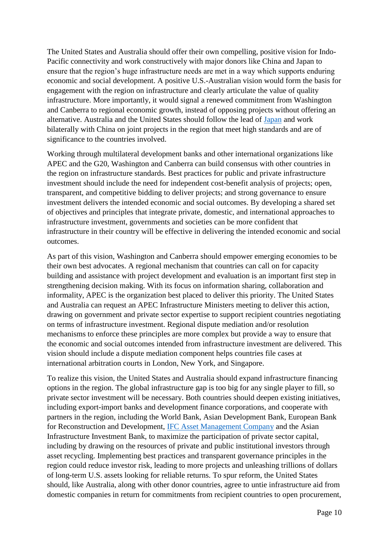The United States and Australia should offer their own compelling, positive vision for Indo-Pacific connectivity and work constructively with major donors like China and Japan to ensure that the region's huge infrastructure needs are met in a way which supports enduring economic and social development. A positive U.S.-Australian vision would form the basis for engagement with the region on infrastructure and clearly articulate the value of quality infrastructure. More importantly, it would signal a renewed commitment from Washington and Canberra to regional economic growth, instead of opposing projects without offering an alternative. Australia and the United States should follow the lead of [Japan](http://www.eastasiaforum.org/2018/10/28/japan-joins-to-shape-chinas-belt-and-road/) and work bilaterally with China on joint projects in the region that meet high standards and are of significance to the countries involved.

Working through multilateral development banks and other international organizations like APEC and the G20, Washington and Canberra can build consensus with other countries in the region on infrastructure standards. Best practices for public and private infrastructure investment should include the need for independent cost-benefit analysis of projects; open, transparent, and competitive bidding to deliver projects; and strong governance to ensure investment delivers the intended economic and social outcomes. By developing a shared set of objectives and principles that integrate private, domestic, and international approaches to infrastructure investment, governments and societies can be more confident that infrastructure in their country will be effective in delivering the intended economic and social outcomes.

As part of this vision, Washington and Canberra should empower emerging economies to be their own best advocates. A regional mechanism that countries can call on for capacity building and assistance with project development and evaluation is an important first step in strengthening decision making. With its focus on information sharing, collaboration and informality, APEC is the organization best placed to deliver this priority. The United States and Australia can request an APEC Infrastructure Ministers meeting to deliver this action, drawing on government and private sector expertise to support recipient countries negotiating on terms of infrastructure investment. Regional dispute mediation and/or resolution mechanisms to enforce these principles are more complex but provide a way to ensure that the economic and social outcomes intended from infrastructure investment are delivered. This vision should include a dispute mediation component helps countries file cases at international arbitration courts in London, New York, and Singapore.

To realize this vision, the United States and Australia should expand infrastructure financing options in the region. The global infrastructure gap is too big for any single player to fill, so private sector investment will be necessary. Both countries should deepen existing initiatives, including export-import banks and development finance corporations, and cooperate with partners in the region, including the World Bank, Asian Development Bank, European Bank for Reconstruction and Development, [IFC Asset Management Company](https://www.ifcamc.org/home) and the Asian Infrastructure Investment Bank, to maximize the participation of private sector capital, including by drawing on the resources of private and public institutional investors through asset recycling. Implementing best practices and transparent governance principles in the region could reduce investor risk, leading to more projects and unleashing trillions of dollars of long-term U.S. assets looking for reliable returns. To spur reform, the United States should, like Australia, along with other donor countries, agree to untie infrastructure aid from domestic companies in return for commitments from recipient countries to open procurement,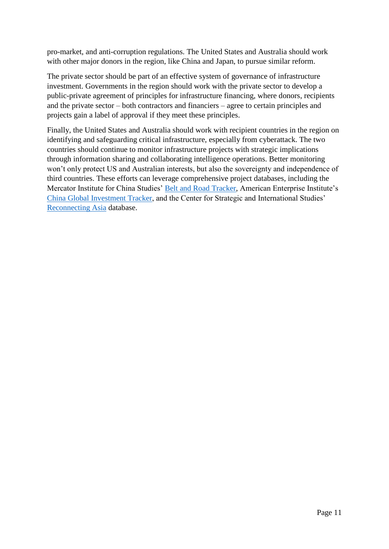pro-market, and anti-corruption regulations. The United States and Australia should work with other major donors in the region, like China and Japan, to pursue similar reform.

The private sector should be part of an effective system of governance of infrastructure investment. Governments in the region should work with the private sector to develop a public-private agreement of principles for infrastructure financing, where donors, recipients and the private sector – both contractors and financiers – agree to certain principles and projects gain a label of approval if they meet these principles.

Finally, the United States and Australia should work with recipient countries in the region on identifying and safeguarding critical infrastructure, especially from cyberattack. The two countries should continue to monitor infrastructure projects with strategic implications through information sharing and collaborating intelligence operations. Better monitoring won't only protect US and Australian interests, but also the sovereignty and independence of third countries. These efforts can leverage comprehensive project databases, including the Mercator Institute for China Studies' [Belt and Road](https://www.merics.org/en/bri-tracker) Tracker, American Enterprise Institute's [China Global Investment Tracker,](http://www.aei.org/china-global-investment-tracker/) and the Center for Strategic and International Studies' [Reconnecting Asia](https://reconnectingasia.csis.org/database/) database.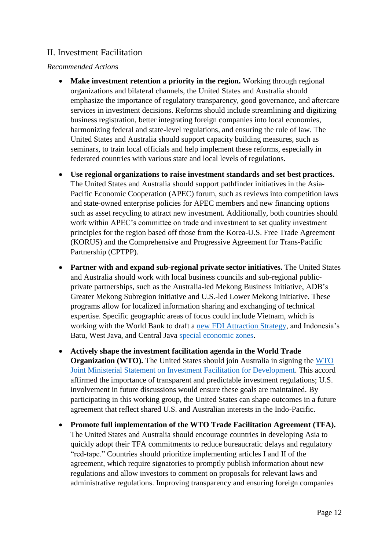# <span id="page-13-0"></span>II. Investment Facilitation

#### *Recommended Action*s

- **Make investment retention a priority in the region.** Working through regional organizations and bilateral channels, the United States and Australia should emphasize the importance of regulatory transparency, good governance, and aftercare services in investment decisions. Reforms should include streamlining and digitizing business registration, better integrating foreign companies into local economies, harmonizing federal and state-level regulations, and ensuring the rule of law. The United States and Australia should support capacity building measures, such as seminars, to train local officials and help implement these reforms, especially in federated countries with various state and local levels of regulations.
- **Use regional organizations to raise investment standards and set best practices.** The United States and Australia should support pathfinder initiatives in the Asia-Pacific Economic Cooperation (APEC) forum, such as reviews into competition laws and state-owned enterprise policies for APEC members and new financing options such as asset recycling to attract new investment. Additionally, both countries should work within APEC's committee on trade and investment to set quality investment principles for the region based off those from the Korea-U.S. Free Trade Agreement (KORUS) and the Comprehensive and Progressive Agreement for Trans-Pacific Partnership (CPTPP).
- **Partner with and expand sub-regional private sector initiatives.** The United States and Australia should work with local business councils and sub-regional publicprivate partnerships, such as the Australia-led Mekong Business Initiative, ADB's Greater Mekong Subregion initiative and U.S.-led Lower Mekong initiative. These programs allow for localized information sharing and exchanging of technical expertise. Specific geographic areas of focus could include Vietnam, which is working with the World Bank to draft a [new FDI Attraction Strategy,](https://www.state.gov/e/eb/rls/othr/ics/2018/eap/281549.htm) and Indonesia's Batu, West Java, and Central Java [special economic zones.](https://www.aseanbriefing.com/news/2018/08/24/indonesias-growing-special-economic-zones-opportunities-and-challenges.html)
- **Actively shape the investment facilitation agenda in the World Trade Organization (WTO).** The United States should join Australia in signing the WTO [Joint Ministerial Statement on Investment Facilitation for Development.](https://docs.wto.org/dol2fe/Pages/FE_Search/FE_S_S009-DP.aspx?language=E&CatalogueIdList=240870,240871,240899,240900,240833,240841,240845,240847,240848,240853&CurrentCatalogueIdIndex=0&FullTextHash=&HasEnglishRecord=True&HasFrenchRecord=True&HasSpanishRecord=True) This accord affirmed the importance of transparent and predictable investment regulations; U.S. involvement in future discussions would ensure these goals are maintained. By participating in this working group, the United States can shape outcomes in a future agreement that reflect shared U.S. and Australian interests in the Indo-Pacific.
- **Promote full implementation of the WTO Trade Facilitation Agreement (TFA).** The United States and Australia should encourage countries in developing Asia to quickly adopt their TFA commitments to reduce bureaucratic delays and regulatory "red-tape." Countries should prioritize implementing articles I and II of the agreement, which require signatories to promptly publish information about new regulations and allow investors to comment on proposals for relevant laws and administrative regulations. Improving transparency and ensuring foreign companies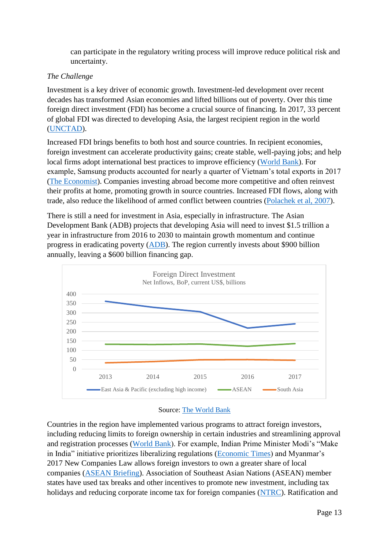can participate in the regulatory writing process will improve reduce political risk and uncertainty.

#### *The Challenge*

Investment is a key driver of economic growth. Investment-led development over recent decades has transformed Asian economies and lifted billions out of poverty. Over this time foreign direct investment (FDI) has become a crucial source of financing. In 2017, 33 percent of global FDI was directed to developing Asia, the largest recipient region in the world [\(UNCTAD\)](http://unctad.org/en/PublicationsLibrary/wir2018_en.pdf).

Increased FDI brings benefits to both host and source countries. In recipient economies, foreign investment can accelerate productivity gains; create stable, well-paying jobs; and help local firms adopt international best practices to improve efficiency [\(World Bank\)](https://openknowledge.worldbank.org/handle/10986/28493). For example, Samsung products accounted for nearly a quarter of Vietnam's total exports in 2017 [\(The Economist\)](https://www.economist.com/asia/2018/04/12/why-samsung-of-south-korea-is-the-biggest-firm-in-vietnam). Companies investing abroad become more competitive and often reinvest their profits at home, promoting growth in source countries. Increased FDI flows, along with trade, also reduce the likelihood of armed conflict between countries [\(Polachek et al, 2007\)](https://www.researchgate.net/publication/24078337_The_Impact_of_Foreign_Direct_Investment_on_International_Conflict).

There is still a need for investment in Asia, especially in infrastructure. The Asian Development Bank (ADB) projects that developing Asia will need to invest \$1.5 trillion a year in infrastructure from 2016 to 2030 to maintain growth momentum and continue progress in eradicating poverty [\(ADB\)](https://www.adb.org/sites/default/files/publication/227496/special-report-infrastructure-highlights.pdf). The region currently invests about \$900 billion annually, leaving a \$600 billion financing gap.



#### Source: [The World Bank](https://data.worldbank.org/indicator/BX.KLT.DINV.CD.WD?view=map)

Countries in the region have implemented various programs to attract foreign investors, including reducing limits to foreign ownership in certain industries and streamlining approval and registration processes [\(World Bank\)](https://openknowledge.worldbank.org/handle/10986/28493). For example, Indian Prime Minister Modi's "Make in India" initiative prioritizes liberalizing regulations [\(Economic Times\)](https://economictimes.indiatimes.com/news/economy/finance/fdi-surges-after-make-in-india-up-46-at-62-billion/articleshow/53305777.cms) and Myanmar's 2017 New Companies Law allows foreign investors to own a greater share of local companies [\(ASEAN Briefing\)](https://www.aseanbriefing.com/news/2017/12/11/myanmars-new-companies-law.html). Association of Southeast Asian Nations (ASEAN) member states have used tax breaks and other incentives to promote new investment, including tax holidays and reducing corporate income tax for foreign companies [\(NTRC\)](http://www.ntrc.gov.ph/images/journal/2018/j20180102a.pdf). Ratification and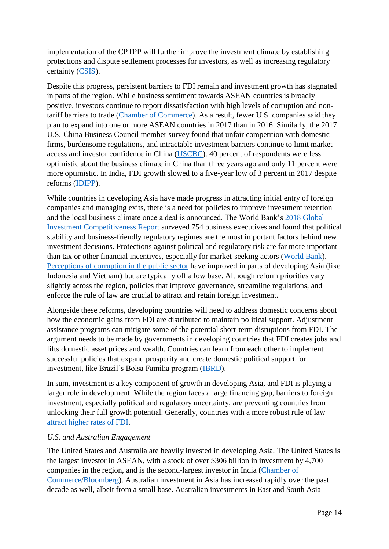implementation of the CPTPP will further improve the investment climate by establishing protections and dispute settlement processes for investors, as well as increasing regulatory certainty [\(CSIS\)](https://www.csis.org/analysis/tpp-cptpp).

Despite this progress, persistent barriers to FDI remain and investment growth has stagnated in parts of the region. While business sentiment towards ASEAN countries is broadly positive, investors continue to report dissatisfaction with high levels of corruption and nontariff barriers to trade [\(Chamber of Commerce\)](https://www.uschamber.com/sites/default/files/abos_2018_final_final_version.pdf). As a result, fewer U.S. companies said they plan to expand into one or more ASEAN countries in 2017 than in 2016. Similarly, the 2017 U.S.-China Business Council member survey found that unfair competition with domestic firms, burdensome regulations, and intractable investment barriers continue to limit market access and investor confidence in China [\(USCBC\)](https://www.uschina.org/media/press/2017-uscbc-annual-member-survey-released). 40 percent of respondents were less optimistic about the business climate in China than three years ago and only 11 percent were more optimistic. In India, FDI growth slowed to a five-year low of 3 percent in 2017 despite reforms [\(IDIPP\)](http://dipp.nic.in/sites/default/files/FDI_FactSheet_29June2018.pdf).

While countries in developing Asia have made progress in attracting initial entry of foreign companies and managing exits, there is a need for policies to improve investment retention and the local business climate once a deal is announced. The World Bank's [2018 Global](https://openknowledge.worldbank.org/handle/10986/28493)  [Investment Competitiveness Report](https://openknowledge.worldbank.org/handle/10986/28493) surveyed 754 business executives and found that political stability and business-friendly regulatory regimes are the most important factors behind new investment decisions. Protections against political and regulatory risk are far more important than tax or other financial incentives, especially for market-seeking actors [\(World Bank\)](https://openknowledge.worldbank.org/handle/10986/28493). [Perceptions of corruption](https://www.transparency.org/news/feature/corruption_perceptions_index_2017) in the public sector have improved in parts of developing Asia (like Indonesia and Vietnam) but are typically off a low base. Although reform priorities vary slightly across the region, policies that improve governance, streamline regulations, and enforce the rule of law are crucial to attract and retain foreign investment.

Alongside these reforms, developing countries will need to address domestic concerns about how the economic gains from FDI are distributed to maintain political support. Adjustment assistance programs can mitigate some of the potential short-term disruptions from FDI. The argument needs to be made by governments in developing countries that FDI creates jobs and lifts domestic asset prices and wealth. Countries can learn from each other to implement successful policies that expand prosperity and create domestic political support for investment, like Brazil's Bolsa Familia program [\(IBRD\)](http://www.brazil4africa.org/wp-content/uploads/publications/working_papers/IRIBA_WP04_Antipoverty_Transfers_and_Inclusive_Growth_in_Brazil.pdf).

In sum, investment is a key component of growth in developing Asia, and FDI is playing a larger role in development. While the region faces a large financing gap, barriers to foreign investment, especially political and regulatory uncertainty, are preventing countries from unlocking their full growth potential. Generally, countries with a more robust rule of law [attract higher rates of FDI.](https://www.brookings.edu/research/united-states-china-two-way-direct-investment-opportunities-and-challenges/)

#### *U.S. and Australian Engagement*

The United States and Australia are heavily invested in developing Asia. The United States is the largest investor in ASEAN, with a stock of over \$306 billion in investment by 4,700 companies in the region, and is the second-largest investor in India [\(Chamber of](https://www.uschamber.com/sites/default/files/abos_2018_final_final_version.pdf)  [Commerce/](https://www.uschamber.com/sites/default/files/abos_2018_final_final_version.pdf)[Bloomberg\)](https://www.thequint.com/news/india/fdi-in-india-source-and-destination). Australian investment in Asia has increased rapidly over the past decade as well, albeit from a small base. Australian investments in East and South Asia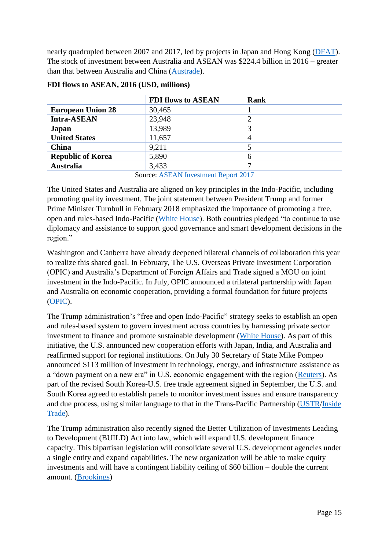nearly quadrupled between 2007 and 2017, led by projects in Japan and Hong Kong [\(DFAT\)](https://dfat.gov.au/trade/resources/investment-statistics/Pages/statistics-on-where-australia-invests.aspx). The stock of investment between Australia and ASEAN was \$224.4 billion in 2016 – greater than that between Australia and China [\(Austrade\)](https://www.austrade.gov.au/asean-now/why-asean-matters-to-australia/australia-asean-trade-investment-relationship/).

|                                                                   | <b>FDI flows to ASEAN</b> | <b>Rank</b> |
|-------------------------------------------------------------------|---------------------------|-------------|
| <b>European Union 28</b>                                          | 30,465                    |             |
| <b>Intra-ASEAN</b>                                                | 23,948                    |             |
| Japan                                                             | 13,989                    |             |
| <b>United States</b>                                              | 11,657                    | 4           |
| China                                                             | 9,211                     |             |
| <b>Republic of Korea</b>                                          | 5,890                     | 6           |
| <b>Australia</b>                                                  | 3,433                     |             |
| $S_{\text{ouco}}$ $\Lambda$ CE $\Lambda$ M Investment Deport 2017 |                           |             |

#### **FDI flows to ASEAN, 2016 (USD, millions)**

Source: [ASEAN Investment Report 2017](http://asean.org/storage/2017/11/ASEAN-Investment-Report-2017.pdf)

The United States and Australia are aligned on key principles in the Indo-Pacific, including promoting quality investment. The joint statement between President Trump and former Prime Minister Turnbull in February 2018 emphasized the importance of promoting a free, open and rules-based Indo-Pacific [\(White House\)](https://www.whitehouse.gov/briefings-statements/joint-statement-united-states-president-donald-j-trump-australian-prime-minister-malcolm-turnbull/). Both countries pledged "to continue to use diplomacy and assistance to support good governance and smart development decisions in the region."

Washington and Canberra have already deepened bilateral channels of collaboration this year to realize this shared goal. In February, The U.S. Overseas Private Investment Corporation (OPIC) and Australia's Department of Foreign Affairs and Trade signed a MOU on joint investment in the Indo-Pacific. In July, OPIC announced a trilateral partnership with Japan and Australia on economic cooperation, providing a formal foundation for future projects [\(OPIC\)](https://www.opic.gov/press-releases/2018/us-japan-australia-announce-trilateral-partnership-indo-pacific-infrastructure-investment).

The Trump administration's "free and open Indo-Pacific" strategy seeks to establish an open and rules-based system to govern investment across countries by harnessing private sector investment to finance and promote sustainable development [\(White House\)](https://www.whitehouse.gov/briefings-statements/president-donald-j-trumps-administration-advancing-free-open-indo-pacific/). As part of this initiative, the U.S. announced new cooperation efforts with Japan, India, and Australia and reaffirmed support for regional institutions. On July 30 Secretary of State Mike Pompeo announced \$113 million of investment in technology, energy, and infrastructure assistance as a "down payment on a new era" in U.S. economic engagement with the region [\(Reuters\)](https://www.reuters.com/article/us-usa-trade-pompeo/u-s-plans-113-million-down-payment-on-a-new-era-in-indo-pacific-pompeo-idUSKBN1KK1NP). As part of the revised South Korea-U.S. free trade agreement signed in September, the U.S. and South Korea agreed to establish panels to monitor investment issues and ensure transparency and due process, using similar language to that in the Trans-Pacific Partnership [\(USTR/](https://ustr.gov/sites/default/files/files/Press/Releases/KORUS%20Texts%20Outcomes.pdf)[Inside](https://insidetrade.com/daily-news/korus-outcomes-include-potential-changes-investment-rules-origin-and-transparency)  [Trade\)](https://insidetrade.com/daily-news/korus-outcomes-include-potential-changes-investment-rules-origin-and-transparency).

The Trump administration also recently signed the Better Utilization of Investments Leading to Development (BUILD) Act into law, which will expand U.S. development finance capacity. This bipartisan legislation will consolidate several U.S. development agencies under a single entity and expand capabilities. The new organization will be able to make equity investments and will have a contingent liability ceiling of \$60 billion – double the current amount. [\(Brookings\)](https://www.brookings.edu/blog/future-development/2018/03/29/building-a-robust-us-development-finance-institution/)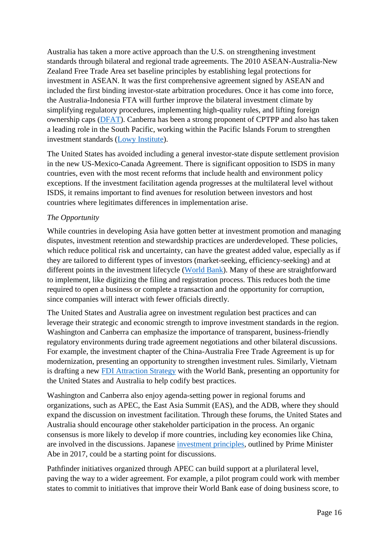Australia has taken a more active approach than the U.S. on strengthening investment standards through bilateral and regional trade agreements. The 2010 ASEAN-Australia-New Zealand Free Trade Area set baseline principles by establishing legal protections for investment in ASEAN. It was the first comprehensive agreement signed by ASEAN and included the first binding investor-state arbitration procedures. Once it has come into force, the Australia-Indonesia FTA will further improve the bilateral investment climate by simplifying regulatory procedures, implementing high-quality rules, and lifting foreign ownership caps [\(DFAT\)](https://dfat.gov.au/trade/agreements/in-force/aanzfta/Pages/asean-australia-new-zealand-free-trade-agreement.aspx). Canberra has been a strong proponent of CPTPP and also has taken a leading role in the South Pacific, working within the Pacific Islands Forum to strengthen investment standards [\(Lowy Institute\)](https://www.lowyinstitute.org/the-interpreter/free-and-open-indo-pacific-and-what-it-means-australia).

The United States has avoided including a general investor-state dispute settlement provision in the new US-Mexico-Canada Agreement. There is significant opposition to ISDS in many countries, even with the most recent reforms that include health and environment policy exceptions. If the investment facilitation agenda progresses at the multilateral level without ISDS, it remains important to find avenues for resolution between investors and host countries where legitimates differences in implementation arise.

#### *The Opportunity*

While countries in developing Asia have gotten better at investment promotion and managing disputes, investment retention and stewardship practices are underdeveloped. These policies, which reduce political risk and uncertainty, can have the greatest added value, especially as if they are tailored to different types of investors (market-seeking, efficiency-seeking) and at different points in the investment lifecycle [\(World Bank\)](https://openknowledge.worldbank.org/handle/10986/28493). Many of these are straightforward to implement, like digitizing the filing and registration process. This reduces both the time required to open a business or complete a transaction and the opportunity for corruption, since companies will interact with fewer officials directly.

The United States and Australia agree on investment regulation best practices and can leverage their strategic and economic strength to improve investment standards in the region. Washington and Canberra can emphasize the importance of transparent, business-friendly regulatory environments during trade agreement negotiations and other bilateral discussions. For example, the investment chapter of the China-Australia Free Trade Agreement is up for modernization, presenting an opportunity to strengthen investment rules. Similarly, Vietnam is drafting a new [FDI Attraction Strategy](https://www.state.gov/e/eb/rls/othr/ics/2018/eap/281549.htm) with the World Bank, presenting an opportunity for the United States and Australia to help codify best practices.

Washington and Canberra also enjoy agenda-setting power in regional forums and organizations, such as APEC, the East Asia Summit (EAS), and the ADB, where they should expand the discussion on investment facilitation. Through these forums, the United States and Australia should encourage other stakeholder participation in the process. An organic consensus is more likely to develop if more countries, including key economies like China, are involved in the discussions. Japanese [investment principles,](https://japan.kantei.go.jp/98_abe/statement/201711/_00007.html) outlined by Prime Minister Abe in 2017, could be a starting point for discussions.

Pathfinder initiatives organized through APEC can build support at a plurilateral level, paving the way to a wider agreement. For example, a pilot program could work with member states to commit to initiatives that improve their World Bank ease of doing business score, to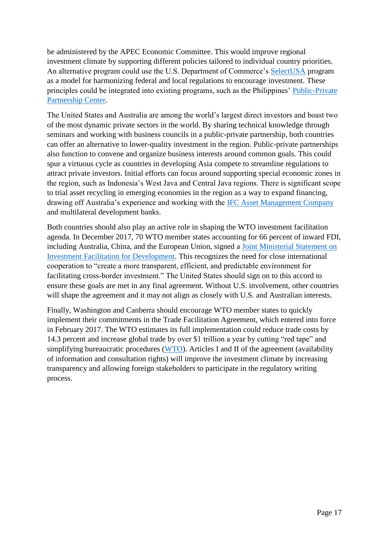be administered by the APEC Economic Committee. This would improve regional investment climate by supporting different policies tailored to individual country priorities. An alternative program could use the U.S. Department of Commerce's [SelectUSA](https://www.selectusa.gov/welcome) program as a model for harmonizing federal and local regulations to encourage investment. These principles could be integrated into existing programs, such as the Philippines' [Public-Private](https://www.adb.org/news/features/public-private-partnership-center-play-key-role-infrastructure-upgrades-small-towns)  [Partnership Center.](https://www.adb.org/news/features/public-private-partnership-center-play-key-role-infrastructure-upgrades-small-towns)

The United States and Australia are among the world's largest direct investors and boast two of the most dynamic private sectors in the world. By sharing technical knowledge through seminars and working with business councils in a public-private partnership, both countries can offer an alternative to lower-quality investment in the region. Public-private partnerships also function to convene and organize business interests around common goals. This could spur a virtuous cycle as countries in developing Asia compete to streamline regulations to attract private investors. Initial efforts can focus around supporting special economic zones in the region, such as Indonesia's West Java and Central Java regions. There is significant scope to trial asset recycling in emerging economies in the region as a way to expand financing, drawing off Australia's experience and working with the [IFC Asset Management Company](https://www.ifcamc.org/home) and multilateral development banks.

Both countries should also play an active role in shaping the WTO investment facilitation agenda. In December 2017, 70 WTO member states accounting for 66 percent of inward FDI, including Australia, China, and the European Union, signed a [Joint Ministerial Statement on](https://docs.wto.org/dol2fe/Pages/FE_Search/FE_S_S009-DP.aspx?language=E&CatalogueIdList=240870,240871,240899,240900,240833,240841,240845,240847,240848,240853&CurrentCatalogueIdIndex=0&FullTextHash=&HasEnglishRecord=True&HasFrenchRecord=True&HasSpanishRecord=True)  [Investment Facilitation for Development.](https://docs.wto.org/dol2fe/Pages/FE_Search/FE_S_S009-DP.aspx?language=E&CatalogueIdList=240870,240871,240899,240900,240833,240841,240845,240847,240848,240853&CurrentCatalogueIdIndex=0&FullTextHash=&HasEnglishRecord=True&HasFrenchRecord=True&HasSpanishRecord=True) This recognizes the need for close international cooperation to "create a more transparent, efficient, and predictable environment for facilitating cross-border investment." The United States should sign on to this accord to ensure these goals are met in any final agreement. Without U.S. involvement, other countries will shape the agreement and it may not align as closely with U.S. and Australian interests.

Finally, Washington and Canberra should encourage WTO member states to quickly implement their commitments in the Trade Facilitation Agreement, which entered into force in February 2017. The WTO estimates its full implementation could reduce trade costs by 14.3 percent and increase global trade by over \$1 trillion a year by cutting "red tape" and simplifying bureaucratic procedures [\(WTO\)](https://www.wto.org/english/tratop_e/tradfa_e/tradfa_e.htm). Articles I and II of the agreement (availability of information and consultation rights) will improve the investment climate by increasing transparency and allowing foreign stakeholders to participate in the regulatory writing process.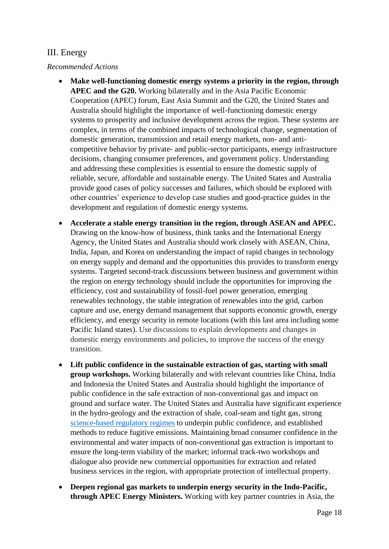## <span id="page-19-0"></span>III. Energy

#### *Recommended Actions*

- **Make well-functioning domestic energy systems a priority in the region, through APEC and the G20.** Working bilaterally and in the Asia Pacific Economic Cooperation (APEC) forum, East Asia Summit and the G20, the United States and Australia should highlight the importance of well-functioning domestic energy systems to prosperity and inclusive development across the region. These systems are complex, in terms of the combined impacts of technological change, segmentation of domestic generation, transmission and retail energy markets, non- and anticompetitive behavior by private- and public-sector participants, energy infrastructure decisions, changing consumer preferences, and government policy. Understanding and addressing these complexities is essential to ensure the domestic supply of reliable, secure, affordable and sustainable energy. The United States and Australia provide good cases of policy successes and failures, which should be explored with other countries' experience to develop case studies and good-practice guides in the development and regulation of domestic energy systems.
- **Accelerate a stable energy transition in the region, through ASEAN and APEC.** Drawing on the know-how of business, think tanks and the International Energy Agency, the United States and Australia should work closely with ASEAN, China, India, Japan, and Korea on understanding the impact of rapid changes in technology on energy supply and demand and the opportunities this provides to transform energy systems. Targeted second-track discussions between business and government within the region on energy technology should include the opportunities for improving the efficiency, cost and sustainability of fossil-fuel power generation, emerging renewables technology, the stable integration of renewables into the grid, carbon capture and use, energy demand management that supports economic growth, energy efficiency, and energy security in remote locations (with this last area including some Pacific Island states). Use discussions to explain developments and changes in domestic energy environments and policies, to improve the success of the energy transition.
- **Lift public confidence in the sustainable extraction of gas, starting with small group workshops.** Working bilaterally and with relevant countries like China, India and Indonesia the United States and Australia should highlight the importance of public confidence in the safe extraction of non-conventional gas and impact on ground and surface water. The United States and Australia have significant experience in the hydro-geology and the extraction of shale, coal-seam and tight gas, strong [science-based regulatory regimes](http://environment.gov.au/water/coal-and-coal-seam-gas) to underpin public confidence, and established methods to reduce fugitive emissions. Maintaining broad consumer confidence in the environmental and water impacts of non-conventional gas extraction is important to ensure the long-term viability of the market; informal track-two workshops and dialogue also provide new commercial opportunities for extraction and related business services in the region, with appropriate protection of intellectual property.
- **Deepen regional gas markets to underpin energy security in the Indo-Pacific, through APEC Energy Ministers.** Working with key partner countries in Asia, the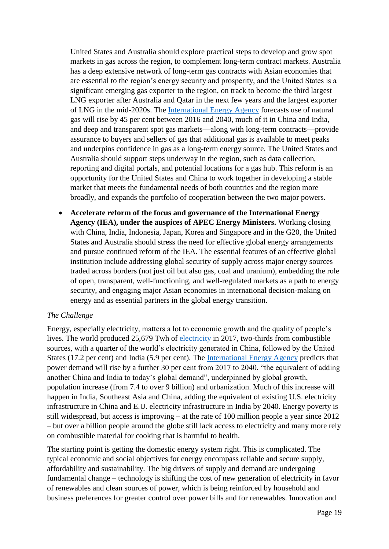United States and Australia should explore practical steps to develop and grow spot markets in gas across the region, to complement long-term contract markets. Australia has a deep extensive network of long-term gas contracts with Asian economies that are essential to the region's energy security and prosperity, and the United States is a significant emerging gas exporter to the region, on track to become the third largest LNG exporter after Australia and Qatar in the next few years and the largest exporter of LNG in the mid-2020s. The [International Energy Agency](https://www.iea.org/weo2017/#section-3) forecasts use of natural gas will rise by 45 per cent between 2016 and 2040, much of it in China and India, and deep and transparent spot gas markets—along with long-term contracts—provide assurance to buyers and sellers of gas that additional gas is available to meet peaks and underpins confidence in gas as a long-term energy source. The United States and Australia should support steps underway in the region, such as data collection, reporting and digital portals, and potential locations for a gas hub. This reform is an opportunity for the United States and China to work together in developing a stable market that meets the fundamental needs of both countries and the region more broadly, and expands the portfolio of cooperation between the two major powers.

• **Accelerate reform of the focus and governance of the International Energy Agency (IEA), under the auspices of APEC Energy Ministers.** Working closing with China, India, Indonesia, Japan, Korea and Singapore and in the G20, the United States and Australia should stress the need for effective global energy arrangements and pursue continued reform of the IEA. The essential features of an effective global institution include addressing global security of supply across major energy sources traded across borders (not just oil but also gas, coal and uranium), embedding the role of open, transparent, well-functioning, and well-regulated markets as a path to energy security, and engaging major Asian economies in international decision-making on energy and as essential partners in the global energy transition.

#### *The Challenge*

Energy, especially electricity, matters a lot to economic growth and the quality of people's lives. The world produced 25,679 Twh of [electricity](https://www.iea.org/Textbase/npsum/weo2017SUM.pdf) in 2017, two-thirds from combustible sources, with a quarter of the world's electricity generated in China, followed by the United States (17.2 per cent) and India (5.9 per cent). The [International Energy Agency](https://www.iea.org/Textbase/npsum/weo2017SUM.pdf) predicts that power demand will rise by a further 30 per cent from 2017 to 2040, "the equivalent of adding another China and India to today's global demand", underpinned by global growth, population increase (from 7.4 to over 9 billion) and urbanization. Much of this increase will happen in India, Southeast Asia and China, adding the equivalent of existing U.S. electricity infrastructure in China and E.U. electricity infrastructure in India by 2040. Energy poverty is still widespread, but access is improving – at the rate of 100 million people a year since 2012 – but over a billion people around the globe still lack access to electricity and many more rely on combustible material for cooking that is harmful to health.

The starting point is getting the domestic energy system right. This is complicated. The typical economic and social objectives for energy encompass reliable and secure supply, affordability and sustainability. The big drivers of supply and demand are undergoing fundamental change – technology is shifting the cost of new generation of electricity in favor of renewables and clean sources of power, which is being reinforced by household and business preferences for greater control over power bills and for renewables. Innovation and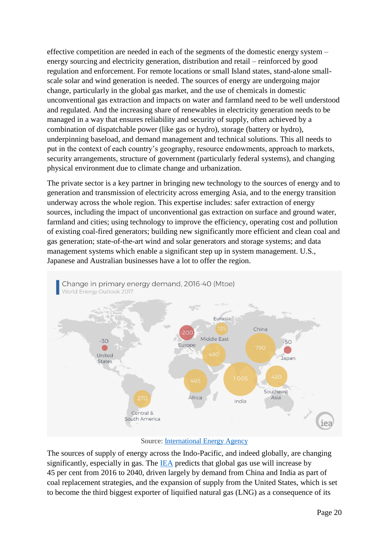effective competition are needed in each of the segments of the domestic energy system – energy sourcing and electricity generation, distribution and retail – reinforced by good regulation and enforcement. For remote locations or small Island states, stand-alone smallscale solar and wind generation is needed. The sources of energy are undergoing major change, particularly in the global gas market, and the use of chemicals in domestic unconventional gas extraction and impacts on water and farmland need to be well understood and regulated. And the increasing share of renewables in electricity generation needs to be managed in a way that ensures reliability and security of supply, often achieved by a combination of dispatchable power (like gas or hydro), storage (battery or hydro), underpinning baseload, and demand management and technical solutions. This all needs to put in the context of each country's geography, resource endowments, approach to markets, security arrangements, structure of government (particularly federal systems), and changing physical environment due to climate change and urbanization.

The private sector is a key partner in bringing new technology to the sources of energy and to generation and transmission of electricity across emerging Asia, and to the energy transition underway across the whole region. This expertise includes: safer extraction of energy sources, including the impact of unconventional gas extraction on surface and ground water, farmland and cities; using technology to improve the efficiency, operating cost and pollution of existing coal-fired generators; building new significantly more efficient and clean coal and gas generation; state-of-the-art wind and solar generators and storage systems; and data management systems which enable a significant step up in system management. U.S., Japanese and Australian businesses have a lot to offer the region.



#### Source: [International Energy Agency](https://www.iea.org/weo2017/)

The sources of supply of energy across the Indo-Pacific, and indeed globally, are changing significantly, especially in gas. The [IEA](https://publications.industry.gov.au/publications/resourcesandenergyquarterlyseptember2018/documents/Resources-and-Energy-Quarterly-September-2018.pdf) predicts that global gas use will increase by 45 per cent from 2016 to 2040, driven largely by demand from China and India as part of coal replacement strategies, and the expansion of supply from the United States, which is set to become the third biggest exporter of liquified natural gas (LNG) as a consequence of its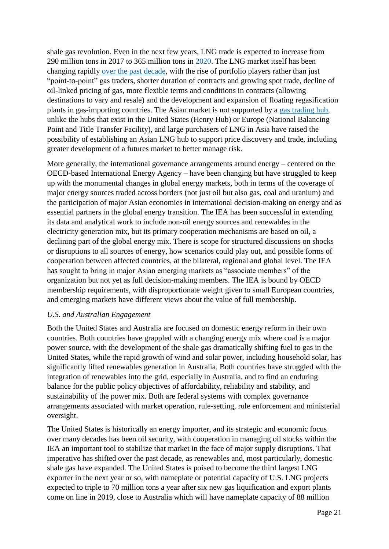shale gas revolution. Even in the next few years, LNG trade is expected to increase from 290 million tons in 2017 to 365 million tons in [2020.](https://publications.industry.gov.au/publications/resourcesandenergyquarterlyseptember2018/documents/Resources-and-Energy-Quarterly-September-2018.pdf) The LNG market itself has been changing rapidly [over the past decade,](https://www.csis.org/analysis/gas-global-yet) with the rise of portfolio players rather than just "point-to-point" gas traders, shorter duration of contracts and growing spot trade, decline of oil-linked pricing of gas, more flexible terms and conditions in contracts (allowing destinations to vary and resale) and the development and expansion of floating regasification plants in gas-importing countries. The Asian market is not supported by a [gas trading hub,](https://globallnghub.com/wp-content/uploads/2018/05/Asian-LNG-Trading-Hubs_CGEP_Report_050318.pdf) unlike the hubs that exist in the United States (Henry Hub) or Europe (National Balancing Point and Title Transfer Facility), and large purchasers of LNG in Asia have raised the possibility of establishing an Asian LNG hub to support price discovery and trade, including greater development of a futures market to better manage risk.

More generally, the international governance arrangements around energy – centered on the OECD-based International Energy Agency – have been changing but have struggled to keep up with the monumental changes in global energy markets, both in terms of the coverage of major energy sources traded across borders (not just oil but also gas, coal and uranium) and the participation of major Asian economies in international decision-making on energy and as essential partners in the global energy transition. The IEA has been successful in extending its data and analytical work to include non-oil energy sources and renewables in the electricity generation mix, but its primary cooperation mechanisms are based on oil, a declining part of the global energy mix. There is scope for structured discussions on shocks or disruptions to all sources of energy, how scenarios could play out, and possible forms of cooperation between affected countries, at the bilateral, regional and global level. The IEA has sought to bring in major Asian emerging markets as "associate members" of the organization but not yet as full decision-making members. The IEA is bound by OECD membership requirements, with disproportionate weight given to small European countries, and emerging markets have different views about the value of full membership.

#### *U.S. and Australian Engagement*

Both the United States and Australia are focused on domestic energy reform in their own countries. Both countries have grappled with a changing energy mix where coal is a major power source, with the development of the shale gas dramatically shifting fuel to gas in the United States, while the rapid growth of wind and solar power, including household solar, has significantly lifted renewables generation in Australia. Both countries have struggled with the integration of renewables into the grid, especially in Australia, and to find an enduring balance for the public policy objectives of affordability, reliability and stability, and sustainability of the power mix. Both are federal systems with complex governance arrangements associated with market operation, rule-setting, rule enforcement and ministerial oversight.

The United States is historically an energy importer, and its strategic and economic focus over many decades has been oil security, with cooperation in managing oil stocks within the IEA an important tool to stabilize that market in the face of major supply disruptions. That imperative has shifted over the past decade, as renewables and, most particularly, domestic shale gas have expanded. The United States is poised to become the third largest LNG exporter in the next year or so, with nameplate or potential capacity of U.S. LNG projects expected to triple to 70 million tons a year after six new gas liquification and export plants come on line in 2019, close to Australia which will have nameplate capacity of 88 million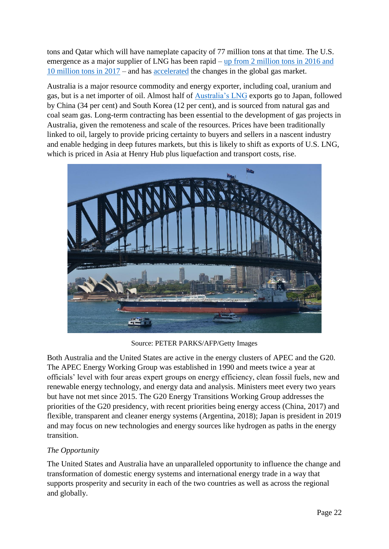tons and Qatar which will have nameplate capacity of 77 million tons at that time. The U.S. emergence as a major supplier of LNG has been rapid – up from 2 million tons in 2016 and [10 million tons in 2017](https://www.afr.com/business/energy/gas/vitol-lng-purchase-contract-cements-second-wave-of-us-exports-20180918-h15j2l) – and has [accelerated](https://www.csis.org/analysis/us-lng-different-taking-stock-after-two-years) the changes in the global gas market.

Australia is a major resource commodity and energy exporter, including coal, uranium and gas, but is a net importer of oil. Almost half of [Australia's LNG](https://publications.industry.gov.au/publications/resourcesandenergyquarterlyjune2018/index.html) exports go to Japan, followed by China (34 per cent) and South Korea (12 per cent), and is sourced from natural gas and coal seam gas. Long-term contracting has been essential to the development of gas projects in Australia, given the remoteness and scale of the resources. Prices have been traditionally linked to oil, largely to provide pricing certainty to buyers and sellers in a nascent industry and enable hedging in deep futures markets, but this is likely to shift as exports of U.S. LNG, which is priced in Asia at Henry Hub plus liquefaction and transport costs, rise.



Source: PETER PARKS/AFP/Getty Images

Both Australia and the United States are active in the energy clusters of APEC and the G20. The APEC Energy Working Group was established in 1990 and meets twice a year at officials' level with four areas expert groups on energy efficiency, clean fossil fuels, new and renewable energy technology, and energy data and analysis. Ministers meet every two years but have not met since 2015. The G20 Energy Transitions Working Group addresses the priorities of the G20 presidency, with recent priorities being energy access (China, 2017) and flexible, transparent and cleaner energy systems (Argentina, 2018); Japan is president in 2019 and may focus on new technologies and energy sources like hydrogen as paths in the energy transition.

#### *The Opportunity*

The United States and Australia have an unparalleled opportunity to influence the change and transformation of domestic energy systems and international energy trade in a way that supports prosperity and security in each of the two countries as well as across the regional and globally.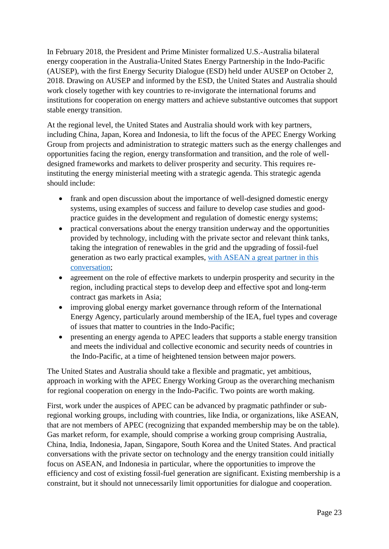In February 2018, the President and Prime Minister formalized U.S.-Australia bilateral energy cooperation in the Australia-United States Energy Partnership in the Indo-Pacific (AUSEP), with the first Energy Security Dialogue (ESD) held under AUSEP on October 2, 2018. Drawing on AUSEP and informed by the ESD, the United States and Australia should work closely together with key countries to re-invigorate the international forums and institutions for cooperation on energy matters and achieve substantive outcomes that support stable energy transition.

At the regional level, the United States and Australia should work with key partners, including China, Japan, Korea and Indonesia, to lift the focus of the APEC Energy Working Group from projects and administration to strategic matters such as the energy challenges and opportunities facing the region, energy transformation and transition, and the role of welldesigned frameworks and markets to deliver prosperity and security. This requires reinstituting the energy ministerial meeting with a strategic agenda. This strategic agenda should include:

- frank and open discussion about the importance of well-designed domestic energy systems, using examples of success and failure to develop case studies and goodpractice guides in the development and regulation of domestic energy systems;
- practical conversations about the energy transition underway and the opportunities provided by technology, including with the private sector and relevant think tanks, taking the integration of renewables in the grid and the upgrading of fossil-fuel generation as two early practical examples, [with ASEAN a great partner in this](http://www.aseanenergy.org/resources/energy-interconnection-in-asean-for-sustainable-and-resilient-societies/)  [conversation;](http://www.aseanenergy.org/resources/energy-interconnection-in-asean-for-sustainable-and-resilient-societies/)
- agreement on the role of effective markets to underpin prosperity and security in the region, including practical steps to develop deep and effective spot and long-term contract gas markets in Asia;
- improving global energy market governance through reform of the International Energy Agency, particularly around membership of the IEA, fuel types and coverage of issues that matter to countries in the Indo-Pacific;
- presenting an energy agenda to APEC leaders that supports a stable energy transition and meets the individual and collective economic and security needs of countries in the Indo-Pacific, at a time of heightened tension between major powers.

The United States and Australia should take a flexible and pragmatic, yet ambitious, approach in working with the APEC Energy Working Group as the overarching mechanism for regional cooperation on energy in the Indo-Pacific. Two points are worth making.

First, work under the auspices of APEC can be advanced by pragmatic pathfinder or subregional working groups, including with countries, like India, or organizations, like ASEAN, that are not members of APEC (recognizing that expanded membership may be on the table). Gas market reform, for example, should comprise a working group comprising Australia, China, India, Indonesia, Japan, Singapore, South Korea and the United States. And practical conversations with the private sector on technology and the energy transition could initially focus on ASEAN, and Indonesia in particular, where the opportunities to improve the efficiency and cost of existing fossil-fuel generation are significant. Existing membership is a constraint, but it should not unnecessarily limit opportunities for dialogue and cooperation.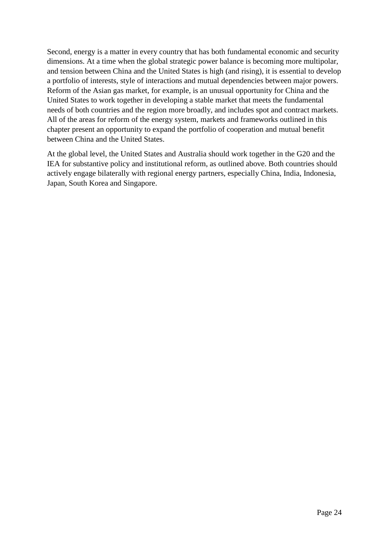Second, energy is a matter in every country that has both fundamental economic and security dimensions. At a time when the global strategic power balance is becoming more multipolar, and tension between China and the United States is high (and rising), it is essential to develop a portfolio of interests, style of interactions and mutual dependencies between major powers. Reform of the Asian gas market, for example, is an unusual opportunity for China and the United States to work together in developing a stable market that meets the fundamental needs of both countries and the region more broadly, and includes spot and contract markets. All of the areas for reform of the energy system, markets and frameworks outlined in this chapter present an opportunity to expand the portfolio of cooperation and mutual benefit between China and the United States.

At the global level, the United States and Australia should work together in the G20 and the IEA for substantive policy and institutional reform, as outlined above. Both countries should actively engage bilaterally with regional energy partners, especially China, India, Indonesia, Japan, South Korea and Singapore.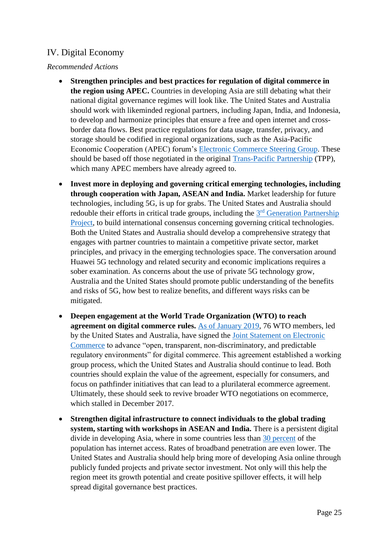# <span id="page-26-0"></span>IV. Digital Economy

#### *Recommended Action*s

- **Strengthen principles and best practices for regulation of digital commerce in the region using APEC.** Countries in developing Asia are still debating what their national digital governance regimes will look like. The United States and Australia should work with likeminded regional partners, including Japan, India, and Indonesia, to develop and harmonize principles that ensure a free and open internet and crossborder data flows. Best practice regulations for data usage, transfer, privacy, and storage should be codified in regional organizations, such as the Asia-Pacific Economic Cooperation (APEC) forum's [Electronic Commerce Steering Group.](https://www.apec.org/Groups/Committee-on-Trade-and-Investment/Electronic-Commerce-Steering-Group.aspx) These should be based off those negotiated in the original [Trans-Pacific Partnership](https://ustr.gov/sites/default/files/Digital-2-Dozen-Final.pdf) (TPP), which many APEC members have already agreed to.
- **Invest more in deploying and governing critical emerging technologies, including through cooperation with Japan, ASEAN and India.** Market leadership for future technologies, including 5G, is up for grabs. The United States and Australia should redouble their efforts in critical trade groups, including the 3<sup>rd</sup> Generation Partnership [Project,](http://www.3gpp.org/release-15) to build international consensus concerning governing critical technologies. Both the United States and Australia should develop a comprehensive strategy that engages with partner countries to maintain a competitive private sector, market principles, and privacy in the emerging technologies space. The conversation around Huawei 5G technology and related security and economic implications requires a sober examination. As concerns about the use of private 5G technology grow, Australia and the United States should promote public understanding of the benefits and risks of 5G, how best to realize benefits, and different ways risks can be mitigated.
- **Deepen engagement at the World Trade Organization (WTO) to reach agreement on digital commerce rules.** [As of January 2019,](http://trade.ec.europa.eu/doclib/docs/2019/january/tradoc_157643.pdf) 76 WTO members, led by the United States and Australia, have signed the [Joint Statement on Electronic](https://www.tralac.org/images/Resources/MC11/mc11-joint-statement-on-electronic-commerce-13-december-2017.pdf)  [Commerce](https://www.tralac.org/images/Resources/MC11/mc11-joint-statement-on-electronic-commerce-13-december-2017.pdf) to advance "open, transparent, non-discriminatory, and predictable regulatory environments" for digital commerce. This agreement established a working group process, which the United States and Australia should continue to lead. Both countries should explain the value of the agreement, especially for consumers, and focus on pathfinder initiatives that can lead to a plurilateral ecommerce agreement. Ultimately, these should seek to revive broader WTO negotiations on ecommerce, which stalled in December 2017.
- **Strengthen digital infrastructure to connect individuals to the global trading system, starting with workshops in ASEAN and India.** There is a persistent digital divide in developing Asia, where in some countries less than [30 percent](http://www.imf.org/external/pubs/ft/fandd/2018/09/asean-digital-economy-infographic-feng.htm?newsletter) of the population has internet access. Rates of broadband penetration are even lower. The United States and Australia should help bring more of developing Asia online through publicly funded projects and private sector investment. Not only will this help the region meet its growth potential and create positive spillover effects, it will help spread digital governance best practices.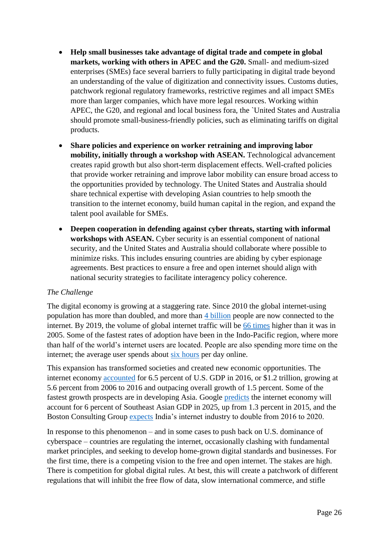- **Help small businesses take advantage of digital trade and compete in global markets, working with others in APEC and the G20.** Small- and medium-sized enterprises (SMEs) face several barriers to fully participating in digital trade beyond an understanding of the value of digitization and connectivity issues. Customs duties, patchwork regional regulatory frameworks, restrictive regimes and all impact SMEs more than larger companies, which have more legal resources. Working within APEC, the G20, and regional and local business fora, the `United States and Australia should promote small-business-friendly policies, such as eliminating tariffs on digital products.
- **Share policies and experience on worker retraining and improving labor mobility, initially through a workshop with ASEAN.** Technological advancement creates rapid growth but also short-term displacement effects. Well-crafted policies that provide worker retraining and improve labor mobility can ensure broad access to the opportunities provided by technology. The United States and Australia should share technical expertise with developing Asian countries to help smooth the transition to the internet economy, build human capital in the region, and expand the talent pool available for SMEs.
- **Deepen cooperation in defending against cyber threats, starting with informal workshops with ASEAN.** Cyber security is an essential component of national security, and the United States and Australia should collaborate where possible to minimize risks. This includes ensuring countries are abiding by cyber espionage agreements. Best practices to ensure a free and open internet should align with national security strategies to facilitate interagency policy coherence.

#### *The Challenge*

The digital economy is growing at a staggering rate. Since 2010 the global internet-using population has more than doubled, and more than [4 billion](https://wearesocial.com/us/blog/2018/01/global-digital-report-2018) people are now connected to the internet. By 2019, the volume of global internet traffic will be [66 times](http://unctad.org/en/PublicationsLibrary/ier2017_en.pdf) higher than it was in 2005. Some of the fastest rates of adoption have been in the Indo-Pacific region, where more than half of the world's internet users are located. People are also spending more time on the internet; the average user spends about [six hours](https://wearesocial.com/us/blog/2018/01/global-digital-report-2018) per day online.

This expansion has transformed societies and created new economic opportunities. The internet economy [accounted](https://www.bea.gov/system/files/papers/defining-and-measuring-the-digital-economy.pdf) for 6.5 percent of U.S. GDP in 2016, or \$1.2 trillion, growing at 5.6 percent from 2006 to 2016 and outpacing overall growth of 1.5 percent. Some of the fastest growth prospects are in developing Asia. Google [predicts](https://www.blog.google/around-the-globe/google-asia/sea-internet-economy/) the internet economy will account for 6 percent of Southeast Asian GDP in 2025, up from 1.3 percent in 2015, and the Boston Consulting Group [expects](https://economictimes.indiatimes.com/tech/internet/indias-internet-economy-to-reach-250-billion-by-2020-report/articleshow/58065967.cms) India's internet industry to double from 2016 to 2020.

In response to this phenomenon – and in some cases to push back on U.S. dominance of cyberspace – countries are regulating the internet, occasionally clashing with fundamental market principles, and seeking to develop home-grown digital standards and businesses. For the first time, there is a competing vision to the free and open internet. The stakes are high. There is competition for global digital rules. At best, this will create a patchwork of different regulations that will inhibit the free flow of data, slow international commerce, and stifle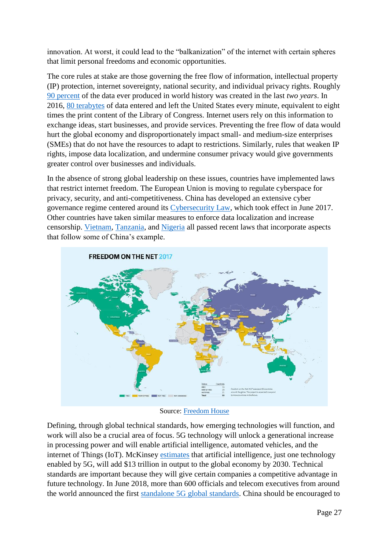innovation. At worst, it could lead to the "balkanization" of the internet with certain spheres that limit personal freedoms and economic opportunities.

The core rules at stake are those governing the free flow of information, intellectual property (IP) protection, internet sovereignty, national security, and individual privacy rights. Roughly [90 percent](https://www-01.ibm.com/common/ssi/cgi-bin/ssialias?htmlfid=WRL12345USEN) of the data ever produced in world history was created in the last *two years*. In 2016, [80 terabytes](https://ustr.gov/sites/default/files/TPP-Chapter-Summary-Electronic-Commerce.pdf) of data entered and left the United States every minute, equivalent to eight times the print content of the Library of Congress. Internet users rely on this information to exchange ideas, start businesses, and provide services. Preventing the free flow of data would hurt the global economy and disproportionately impact small- and medium-size enterprises (SMEs) that do not have the resources to adapt to restrictions. Similarly, rules that weaken IP rights, impose data localization, and undermine consumer privacy would give governments greater control over businesses and individuals.

In the absence of strong global leadership on these issues, countries have implemented laws that restrict internet freedom. The European Union is moving to regulate cyberspace for privacy, security, and anti-competitiveness. China has developed an extensive cyber governance regime centered around its [Cybersecurity Law,](https://www.csis.org/analysis/new-china-data-privacy-standard-looks-more-far-reaching-gdpr) which took effect in June 2017. Other countries have taken similar measures to enforce data localization and increase censorship. [Vietnam,](https://www.wsj.com/articles/vietnam-tightens-grip-on-internet-with-data-storage-law-1528799753) [Tanzania,](http://www.africanews.com/2018/04/12/tanzania-cyber-law-introduces-900-fees-for-bloggers-compulsory-passwords/) and [Nigeria](https://www.americanbar.org/content/dam/aba/publications/antitrust_magazine/anti_fall2017_cohen.authcheckdam.pdf) all passed recent laws that incorporate aspects that follow some of China's example.



Source: [Freedom House](https://freedomhouse.org/report/freedom-net/freedom-net-2017)

Defining, through global technical standards, how emerging technologies will function, and work will also be a crucial area of focus. 5G technology will unlock a generational increase in processing power and will enable artificial intelligence, automated vehicles, and the internet of Things (IoT). McKinsey [estimates](https://www.mckinsey.com/featured-insights/artificial-intelligence/notes-from-the-frontier-modeling-the-impact-of-ai-on-the-world-economy) that artificial intelligence, just one technology enabled by 5G, will add \$13 trillion in output to the global economy by 2030. Technical standards are important because they will give certain companies a competitive advantage in future technology. In June 2018, more than 600 officials and telecom executives from around the world announced the first [standalone 5G global standards.](http://www.3gpp.org/news-events/3gpp-news/1965-rel-15_news) China should be encouraged to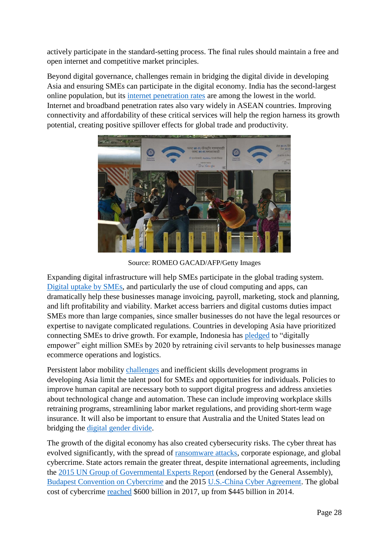actively participate in the standard-setting process. The final rules should maintain a free and open internet and competitive market principles.

Beyond digital governance, challenges remain in bridging the digital divide in developing Asia and ensuring SMEs can participate in the digital economy. India has the second-largest online population, but its [internet penetration rates](http://www.pewglobal.org/2018/06/19/social-media-use-continues-to-rise-in-developing-countries-but-plateaus-across-developed-ones/) are among the lowest in the world. Internet and broadband penetration rates also vary widely in ASEAN countries. Improving connectivity and affordability of these critical services will help the region harness its growth potential, creating positive spillover effects for global trade and productivity.



Source: ROMEO GACAD/AFP/Getty Images

Expanding digital infrastructure will help SMEs participate in the global trading system. [Digital uptake by SMEs,](https://www.xero.com/small-business-insights/wp-content/uploads/2018/10/From-little-things-big-things-grow-How-digital-connectivity-is-helping-Australian-small-businesses-thrive.pdf) and particularly the use of cloud computing and apps, can dramatically help these businesses manage invoicing, payroll, marketing, stock and planning, and lift profitability and viability. Market access barriers and digital customs duties impact SMEs more than large companies, since smaller businesses do not have the legal resources or expertise to navigate complicated regulations. Countries in developing Asia have prioritized connecting SMEs to drive growth. For example, Indonesia has [pledged](https://www.techinasia.com/indonesias-digital-economy-thrive-small-businesses-online-govt-plan) to "digitally empower" eight million SMEs by 2020 by retraining civil servants to help businesses manage ecommerce operations and logistics.

Persistent labor mobility [challenges](https://www.worldbank.org/en/region/eap/publication/migrating-to-opportunity-overcoming-barriers-to-labor-mobility-in-southeast-asia) and inefficient skills development programs in developing Asia limit the talent pool for SMEs and opportunities for individuals. Policies to improve human capital are necessary both to support digital progress and address anxieties about technological change and automation. These can include improving workplace skills retraining programs, streamlining labor market regulations, and providing short-term wage insurance. It will also be important to ensure that Australia and the United States lead on bridging the [digital gender divide.](http://www.oecd.org/going-digital/bridging-the-digital-gender-divide-key-messages.pdf)

The growth of the digital economy has also created cybersecurity risks. The cyber threat has evolved significantly, with the spread of [ransomware attacks,](https://www.theguardian.com/technology/2017/dec/30/wannacry-petya-notpetya-ransomware) corporate espionage, and global cybercrime. State actors remain the greater threat, despite international agreements, including the [2015 UN Group of Governmental Experts Report](http://www.un.org/ga/search/view_doc.asp?symbol=A/70/174) (endorsed by the General Assembly), [Budapest Convention on Cybercrime](https://www.thegfce.com/news/news/2016/12/07/budapest-convention-on-cybercrime) and the 2015 [U.S.-China Cyber Agreement.](https://fas.org/sgp/crs/row/IN10376.pdf) The global cost of cybercrime [reached](https://csis-prod.s3.amazonaws.com/s3fs-public/publication/economic-impact-cybercrime.pdf?kab1HywrewRzH17N9wuE24soo1IdhuHdutm_source=Pressutm_campaign=bb9303ae70-EMAIL_CAMPAIGN_2018_02_21utm_medium=emailutm_term=0_7623d157be-bb9303ae70-194093869) \$600 billion in 2017, up from \$445 billion in 2014.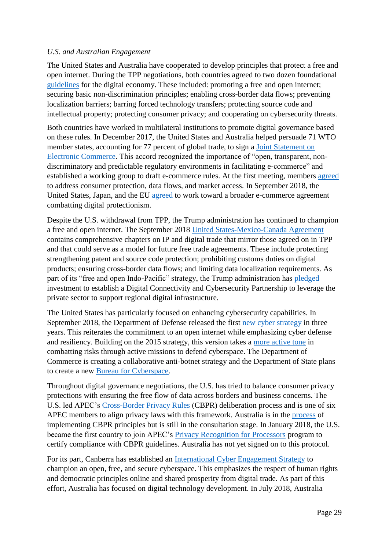#### *U.S. and Australian Engagement*

The United States and Australia have cooperated to develop principles that protect a free and open internet. During the TPP negotiations, both countries agreed to two dozen foundational [guidelines](https://ustr.gov/sites/default/files/Digital-2-Dozen-Final.pdf) for the digital economy. These included: promoting a free and open internet; securing basic non-discrimination principles; enabling cross-border data flows; preventing localization barriers; barring forced technology transfers; protecting source code and intellectual property; protecting consumer privacy; and cooperating on cybersecurity threats.

Both countries have worked in multilateral institutions to promote digital governance based on these rules. In December 2017, the United States and Australia helped persuade 71 WTO member states, accounting for 77 percent of global trade, to sign a [Joint Statement on](https://www.wto.org/english/news_e/news17_e/minis_13dec17_e.htm)  [Electronic Commerce.](https://www.wto.org/english/news_e/news17_e/minis_13dec17_e.htm) This accord recognized the importance of "open, transparent, nondiscriminatory and predictable regulatory environments in facilitating e-commerce" and established a working group to draft e-commerce rules. At the first meeting, members [agreed](https://www.tralac.org/news/article/12964-wto-members-submit-proposals-aimed-at-advancing-exploratory-e-commerce-work.html) to address consumer protection, data flows, and market access. In September 2018, the United States, Japan, and the EU [agreed](https://insidetrade.com/sites/insidetrade.com/files/documents/2018/sep/wto2018_0422.pdf) to work toward a broader e-commerce agreement combatting digital protectionism.

Despite the U.S. withdrawal from TPP, the Trump administration has continued to champion a free and open internet. The September 2018 [United States-Mexico-Canada Agreement](https://ustr.gov/trade-agreements/free-trade-agreements/united-states-mexico-canada-agreement/united-states-mexico) contains comprehensive chapters on IP and digital trade that mirror those agreed on in TPP and that could serve as a model for future free trade agreements. These include protecting strengthening patent and source code protection; prohibiting customs duties on digital products; ensuring cross-border data flows; and limiting data localization requirements. As part of its "free and open Indo-Pacific" strategy, the Trump administration has [pledged](https://www.whitehouse.gov/briefings-statements/president-donald-j-trumps-administration-advancing-free-open-indo-pacific/) investment to establish a Digital Connectivity and Cybersecurity Partnership to leverage the private sector to support regional digital infrastructure.

The United States has particularly focused on enhancing cybersecurity capabilities. In September 2018, the Department of Defense released the first [new cyber strategy](https://media.defense.gov/2018/Sep/18/2002041658/-1/-1/1/CYBER_STRATEGY_SUMMARY_FINAL.PDF) in three years. This reiterates the commitment to an open internet while emphasizing cyber defense and resiliency. Building on the 2015 strategy, this version takes a [more active tone](https://warontherocks.com/2018/09/defending-forward-the-2018-cyber-strategy-is-here/) in combatting risks through active missions to defend cyberspace. The Department of Commerce is creating a collaborative anti-botnet strategy and the Department of State plans to create a new [Bureau for Cyberspace.](https://foreignaffairs.house.gov/wp-content/uploads/2018/02/2-6-18-Secretary-Tillerson-letter-on-Bureau-for-Cyberspace-and-the-Digital-Economy.pdf)

Throughout digital governance negotiations, the U.S. has tried to balance consumer privacy protections with ensuring the free flow of data across borders and business concerns. The U.S. led APEC's [Cross-Border Privacy Rules](https://www.apec.org/Groups/Committee-on-Trade-and-Investment/Electronic-Commerce-Steering-Group.aspx) (CBPR) deliberation process and is one of six APEC members to align privacy laws with this framework. Australia is in the [process](https://www.ag.gov.au/Consultations/Pages/APEC-cross-border-privacy-rules-public-consultation.aspx) of implementing CBPR principles but is still in the consultation stage. In January 2018, the U.S. became the first country to join APEC's [Privacy Recognition for Processors](https://www.lexology.com/library/detail.aspx?g=56dabf89-5025-4fa0-a9a9-7be8b041cb7d) program to certify compliance with CBPR guidelines. Australia has not yet signed on to this protocol.

For its part, Canberra has established an [International Cyber Engagement Strategy](https://dfat.gov.au/international-relations/themes/cyber-affairs/aices/preliminary_information/executive_summary.html) to champion an open, free, and secure cyberspace. This emphasizes the respect of human rights and democratic principles online and shared prosperity from digital trade. As part of this effort, Australia has focused on digital technology development. In July 2018, Australia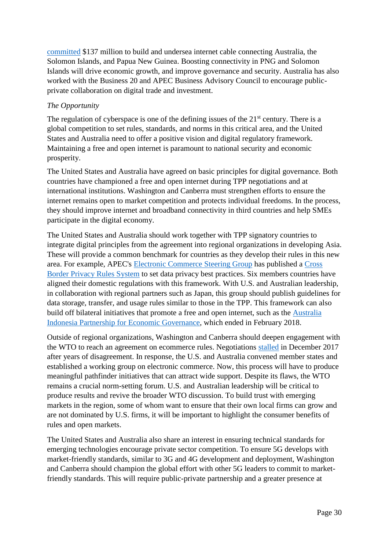[committed](http://www.abc.net.au/news/2018-07-12/australia-solomon-islands-png-sign-undersea-cable-deal/9983102) \$137 million to build and undersea internet cable connecting Australia, the Solomon Islands, and Papua New Guinea. Boosting connectivity in PNG and Solomon Islands will drive economic growth, and [improve governance and security.](https://foreignminister.gov.au/releases/Pages/2018/jb_mr_180619.aspx) Australia has also worked with the Business 20 and APEC Business Advisory Council to encourage publicprivate collaboration on digital trade and investment.

#### *The Opportunity*

The regulation of cyberspace is one of the defining issues of the  $21<sup>st</sup>$  century. There is a global competition to set rules, standards, and norms in this critical area, and the United States and Australia need to offer a positive vision and digital regulatory framework. Maintaining a free and open internet is paramount to national security and economic prosperity.

The United States and Australia have agreed on basic principles for digital governance. Both countries have championed a free and open internet during TPP negotiations and at international institutions. Washington and Canberra must strengthen efforts to ensure the internet remains open to market competition and protects individual freedoms. In the process, they should improve internet and broadband connectivity in third countries and help SMEs participate in the digital economy.

The United States and Australia should work together with TPP signatory countries to integrate digital principles from the agreement into regional organizations in developing Asia. These will provide a common benchmark for countries as they develop their rules in this new area. For example, APEC's [Electronic Commerce Steering Group](https://www.apec.org/Groups/Committee-on-Trade-and-Investment/Electronic-Commerce-Steering-Group.aspx) has published a [Cross](http://cbprs.org/)  [Border Privacy Rules System](http://cbprs.org/) to set data privacy best practices. Six members countries have aligned their domestic regulations with this framework. With U.S. and Australian leadership, in collaboration with regional partners such as Japan, this group should publish guidelines for data storage, transfer, and usage rules similar to those in the TPP. This framework can also build off bilateral initiatives that promote a free and open internet, such as the [Australia](http://eng.kppu.go.id/newkppu/wp-content/uploads/REPORT_Digital_Economy_27-December-2017-FINAL.docx.pdf)  [Indonesia Partnership for Economic Governance,](http://eng.kppu.go.id/newkppu/wp-content/uploads/REPORT_Digital_Economy_27-December-2017-FINAL.docx.pdf) which ended in February 2018.

Outside of regional organizations, Washington and Canberra should deepen engagement with the WTO to reach an agreement on ecommerce rules. Negotiations [stalled](https://www.ft.com/content/d9f63c20-e01d-11e7-a8a4-0a1e63a52f9c) in December 2017 after years of disagreement. In response, the U.S. and Australia convened member states and established a working group on electronic commerce. Now, this process will have to produce meaningful pathfinder initiatives that can attract wide support. Despite its flaws, the WTO remains a crucial norm-setting forum. U.S. and Australian leadership will be critical to produce results and revive the broader WTO discussion. To build trust with emerging markets in the region, some of whom want to ensure that their own local firms can grow and are not dominated by U.S. firms, it will be important to highlight the consumer benefits of rules and open markets.

The United States and Australia also share an interest in ensuring technical standards for emerging technologies encourage private sector competition. To ensure 5G develops with market-friendly standards, similar to 3G and 4G development and deployment, Washington and Canberra should champion the global effort with other 5G leaders to commit to marketfriendly standards. This will require public-private partnership and a greater presence at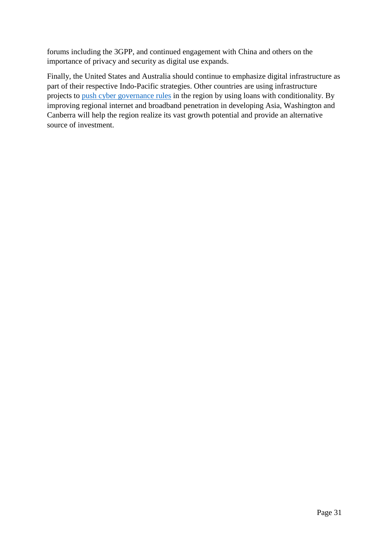forums including the 3GPP, and continued engagement with China and others on the importance of privacy and security as digital use expands.

Finally, the United States and Australia should continue to emphasize digital infrastructure as part of their respective Indo-Pacific strategies. Other countries are using infrastructure projects to [push cyber governance rules](https://www.theatlantic.com/international/archive/2018/06/zte-huawei-china-trump-trade-cyber/563033/) in the region by using loans with conditionality. By improving regional internet and broadband penetration in developing Asia, Washington and Canberra will help the region realize its vast growth potential and provide an alternative source of investment.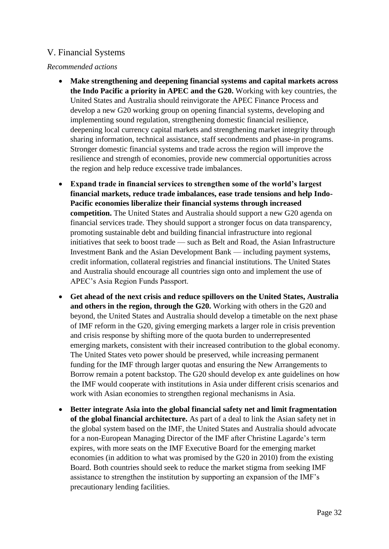# <span id="page-33-0"></span>V. Financial Systems

#### *Recommended actions*

- **Make strengthening and deepening financial systems and capital markets across the Indo Pacific a priority in APEC and the G20.** Working with key countries, the United States and Australia should reinvigorate the APEC Finance Process and develop a new G20 working group on opening financial systems, developing and implementing sound regulation, strengthening domestic financial resilience, deepening local currency capital markets and strengthening market integrity through sharing information, technical assistance, staff secondments and phase-in programs. Stronger domestic financial systems and trade across the region will improve the resilience and strength of economies, provide new commercial opportunities across the region and help reduce excessive trade imbalances.
- **Expand trade in financial services to strengthen some of the world's largest financial markets, reduce trade imbalances, ease trade tensions and help Indo-Pacific economies liberalize their financial systems through increased competition.** The United States and Australia should support a new G20 agenda on financial services trade. They should support a stronger focus on data transparency, promoting sustainable debt and building financial infrastructure into regional initiatives that seek to boost trade — such as Belt and Road, the Asian Infrastructure Investment Bank and the Asian Development Bank — including payment systems, credit information, collateral registries and financial institutions. The United States and Australia should encourage all countries sign onto and implement the use of APEC's Asia Region Funds Passport.
- **Get ahead of the next crisis and reduce spillovers on the United States, Australia and others in the region, through the G20.** Working with others in the G20 and beyond, the United States and Australia should develop a timetable on the next phase of IMF reform in the G20, giving emerging markets a larger role in crisis prevention and crisis response by shifting more of the quota burden to underrepresented emerging markets, consistent with their increased contribution to the global economy. The United States veto power should be preserved, while increasing permanent funding for the IMF through larger quotas and ensuring the New Arrangements to Borrow remain a potent backstop. The G20 should develop ex ante guidelines on how the IMF would cooperate with institutions in Asia under different crisis scenarios and work with Asian economies to strengthen regional mechanisms in Asia.
- **Better integrate Asia into the global financial safety net and limit fragmentation of the global financial architecture.** As part of a deal to link the Asian safety net in the global system based on the IMF, the United States and Australia should advocate for a non-European Managing Director of the IMF after Christine Lagarde's term expires, with more seats on the IMF Executive Board for the emerging market economies (in addition to what was promised by the G20 in 2010) from the existing Board. Both countries should seek to reduce the market stigma from seeking IMF assistance to strengthen the institution by supporting an expansion of the IMF's precautionary lending facilities.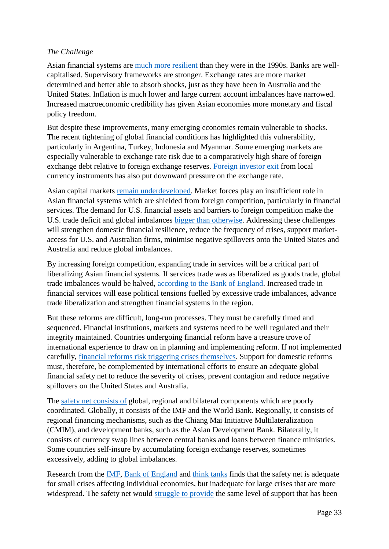#### *The Challenge*

Asian financial systems are [much more resilient](https://www.brookings.edu/wp-content/uploads/2017/10/workingpaper109-economicriskresilienceineastasia-10-2017.pdf.) than they were in the 1990s. Banks are wellcapitalised. Supervisory frameworks are stronger. Exchange rates are more market determined and better able to absorb shocks, just as they have been in Australia and the United States. Inflation is much lower and large current account imbalances have narrowed. Increased macroeconomic credibility has given Asian economies more monetary and fiscal policy freedom.

But despite these improvements, many emerging economies remain vulnerable to shocks. The recent tightening of global financial conditions has highlighted this vulnerability, particularly in Argentina, Turkey, Indonesia and Myanmar. Some emerging markets are especially vulnerable to exchange rate risk due to a comparatively high share of foreign exchange debt relative to foreign exchange reserves. [Foreign investor exit](https://www.omfif.org/analysis/commentary/2018/september/four-proposals-to-lower-contagion/) from local currency instruments has also put downward pressure on the exchange rate.

Asian capital markets [remain underdeveloped.](https://www.mckinsey.com/~/media/McKinsey/Industries/Financial%20Services/Our%20Insights/Deepening%20capital%20markets%20in%20emerging%20economies/Deepening-capital-markets-in-emerging-economies.ashx) Market forces play an insufficient role in Asian financial systems which are shielded from foreign competition, particularly in financial services. The demand for U.S. financial assets and barriers to foreign competition make the U.S. trade deficit and global imbalances [bigger than otherwise.](https://www.brookings.edu/opinions/how-countries-could-respond-to-president-trumps-trade-war/) Addressing these challenges will strengthen domestic financial resilience, reduce the frequency of crises, support marketaccess for U.S. and Australian firms, minimise negative spillovers onto the United States and Australia and reduce global imbalances.

By increasing foreign competition, expanding trade in services will be a critical part of liberalizing Asian financial systems. If services trade was as liberalized as goods trade, global trade imbalances would be halved, [according to the Bank of England.](https://bankunderground.co.uk/2017/10/10/mind-the-gap-services-trade-liberalisation-and-global-imbalances/) Increased trade in financial services will ease political tensions fuelled by excessive trade imbalances, advance trade liberalization and strengthen financial systems in the region.

But these reforms are difficult, long-run processes. They must be carefully timed and sequenced. Financial institutions, markets and systems need to be well regulated and their integrity maintained. Countries undergoing financial reform have a treasure trove of international experience to draw on in planning and implementing reform. If not implemented carefully, [financial reforms risk triggering crises themselves.](http://press-files.anu.edu.au/downloads/press/n2068/pdf/book.pdf?referer=2068) Support for domestic reforms must, therefore, be complemented by international efforts to ensure an adequate global financial safety net to reduce the severity of crises, prevent contagion and reduce negative spillovers on the United States and Australia.

The [safety net consists of](https://www.brookings.edu/research/the-dangerous-inadequacies-of-the-worlds-crisis-response-mechanisms/) global, regional and bilateral components which are poorly coordinated. Globally, it consists of the IMF and the World Bank. Regionally, it consists of regional financing mechanisms, such as the Chiang Mai Initiative Multilateralization (CMIM), and development banks, such as the Asian Development Bank. Bilaterally, it consists of currency swap lines between central banks and loans between finance ministries. Some countries self-insure by accumulating foreign exchange reserves, sometimes excessively, adding to global imbalances.

Research from the [IMF,](https://www.imf.org/external/np/pp/eng/2016/031016.pdf.) [Bank of England](https://www.bankofengland.co.uk/financial-stability-paper/2016/stitching-together-the-global-financial-safety-net.) and [think tanks](https://www.brookings.edu/research/the-dangerous-inadequacies-of-the-worlds-crisis-response-mechanisms/) finds that the safety net is adequate for small crises affecting individual economies, but inadequate for large crises that are more widespread. The safety net would [struggle to provide](https://www.brookings.edu/research/the-dangerous-inadequacies-of-the-worlds-crisis-response-mechanisms/) the same level of support that has been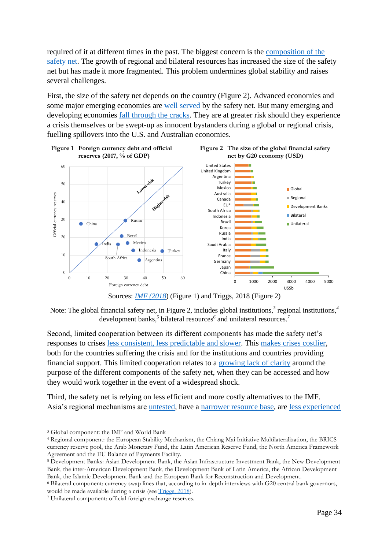required of it at different times in the past. The biggest concern is the [composition of the](https://www.brookings.edu/research/the-dangerous-inadequacies-of-the-worlds-crisis-response-mechanisms/)  [safety net.](https://www.brookings.edu/research/the-dangerous-inadequacies-of-the-worlds-crisis-response-mechanisms/) The growth of regional and bilateral resources has increased the size of the safety net but has made it more fragmented. This problem undermines global stability and raises several challenges.

First, the size of the safety net depends on the country [\(Figure 2\)](#page-35-0). Advanced economies and some major emerging economies are [well served](https://www.imf.org/external/np/pp/eng/2016/031016.pdf.) by the safety net. But many emerging and developing economies *fall through the cracks*. They are at greater risk should they experience a crisis themselves or be swept-up as innocent bystanders during a global or regional crisis, fuelling spillovers into the U.S. and Australian economies.

<span id="page-35-0"></span>

Sources: *[IMF \(2018](https://www.imf.org/en/Publications/GFSR/Issues/2018/04/02/Global-Financial-Stability-Report-April-2018)*) (Figure 1) and Triggs, 2018 (Figure 2)

Note: The global financial safety net, in Figure 2, includes global institutions,<sup>3</sup> regional institutions,<sup>4</sup> development banks,*<sup>5</sup>* bilateral resources*<sup>6</sup>* and unilateral resources.*<sup>7</sup>*

Second, limited cooperation between its different components has made the safety net's responses to crises [less consistent, less predictable and slower.](https://piie.com/publications/working-papers/asian-and-european-financial-crises-compared.) This [makes crises costlier,](http://www.imf.org/external/np/pp/eng/2011/053111.pdf.) both for the countries suffering the crisis and for the institutions and countries providing financial support. This limited cooperation relates to a [growing lack of clarity](https://www.brookings.edu/research/the-dangerous-inadequacies-of-the-worlds-crisis-response-mechanisms/) around the purpose of the different components of the safety net, when they can be accessed and how they would work together in the event of a widespread shock.

Third, the safety net is relying on less efficient and more costly alternatives to the IMF. Asia's regional mechanisms are [untested,](https://www.brookings.edu/wp-content/uploads/2017/10/workingpaper109-economicriskresilienceineastasia-10-2017.pdf.) have a [narrower resource base,](https://www.brookings.edu/wp-content/uploads/2017/10/workingpaper109-economicriskresilienceineastasia-10-2017.pdf.) are [less experienced](https://www.brookings.edu/wp-content/uploads/2017/10/workingpaper109-economicriskresilienceineastasia-10-2017.pdf.) 

1

<sup>3</sup> Global component: the IMF and World Bank

<sup>4</sup> Regional component: the European Stability Mechanism, the Chiang Mai Initiative Multilateralization, the BRICS currency reserve pool, the Arab Monetary Fund, the Latin American Reserve Fund, the North America Framework Agreement and the EU Balance of Payments Facility.

<sup>5</sup> Development Banks: Asian Development Bank, the Asian Infrastructure Investment Bank, the New Development Bank, the inter-American Development Bank, the Development Bank of Latin America, the African Development Bank, the Islamic Development Bank and the European Bank for Reconstruction and Development.

<sup>6</sup> Bilateral component: currency swap lines that, according to in-depth interviews with G20 central bank governors, would be made available during a crisis (se[e Triggs, 2018\)](https://www.brookings.edu/research/the-dangerous-inadequacies-of-the-worlds-crisis-response-mechanisms/).

<sup>7</sup> Unilateral component: official foreign exchange reserves.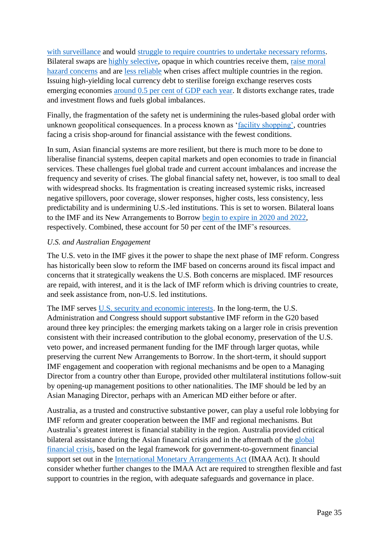[with surveillance](https://www.brookings.edu/wp-content/uploads/2017/10/workingpaper109-economicriskresilienceineastasia-10-2017.pdf.) and would [struggle to require countries to undertake necessary reforms.](https://www.brookings.edu/wp-content/uploads/2017/10/workingpaper109-economicriskresilienceineastasia-10-2017.pdf.) Bilateral swaps are [highly selective,](https://www.imf.org/external/np/pp/eng/2016/031016.pdf.) opaque in which countries receive them, [raise moral](https://www.imf.org/external/np/pp/eng/2016/031016.pdf.)  [hazard concerns](https://www.imf.org/external/np/pp/eng/2016/031016.pdf.) and are [less reliable](https://www.imf.org/external/np/pp/eng/2016/031016.pdf.) when crises affect multiple countries in the region. Issuing high-yielding local currency debt to sterilise foreign exchange reserves costs emerging economies [around 0.5 per cent of GDP each year.](https://voxeu.org/article/fixing-global-financial-safety-net.) It distorts exchange rates, trade and investment flows and fuels global imbalances.

Finally, the fragmentation of the safety net is undermining the rules-based global order with unknown geopolitical consequences. In a process known as ['facility shopping',](http://www.eastasiaforum.org/2018/07/26/facility-shopping-is-fanning-financial-risks/) countries facing a crisis shop-around for financial assistance with the fewest conditions.

In sum, Asian financial systems are more resilient, but there is much more to be done to liberalise financial systems, deepen capital markets and open economies to trade in financial services. These challenges fuel global trade and current account imbalances and increase the frequency and severity of crises. The global financial safety net, however, is too small to deal with widespread shocks. Its fragmentation is creating increased systemic risks, increased negative spillovers, poor coverage, slower responses, higher costs, less consistency, less predictability and is undermining U.S.-led institutions. This is set to worsen. Bilateral loans to the IMF and its New Arrangements to Borrow [begin to expire in 2020 and 2022,](https://www.brookings.edu/wp-content/uploads/2017/10/workingpaper109-economicriskresilienceineastasia-10-2017.pdf.) respectively. Combined, these account for 50 per cent of the IMF's resources.

#### *U.S. and Australian Engagement*

The U.S. veto in the IMF gives it the power to shape the next phase of IMF reform. Congress has historically been slow to reform the IMF based on concerns around its fiscal impact and concerns that it strategically weakens the U.S. Both concerns are misplaced. IMF resources are repaid, with interest, and it is the lack of IMF reform which is driving countries to create, and seek assistance from, non-U.S. led institutions.

The IMF serves [U.S. security and economic interests.](https://www.csis.org/analysis/united-states-and-imf-resources-path-forward-0) In the long-term, the U.S. Administration and Congress should support substantive IMF reform in the G20 based around three key principles: the emerging markets taking on a larger role in crisis prevention consistent with their increased contribution to the global economy, preservation of the U.S. veto power, and increased permanent funding for the IMF through larger quotas, while preserving the current New Arrangements to Borrow. In the short-term, it should support IMF engagement and cooperation with regional mechanisms and be open to a Managing Director from a country other than Europe, provided other multilateral institutions follow-suit by opening-up management positions to other nationalities. The IMF should be led by an Asian Managing Director, perhaps with an American MD either before or after.

Australia, as a trusted and constructive substantive power, can play a useful role lobbying for IMF reform and greater cooperation between the IMF and regional mechanisms. But Australia's greatest interest is financial stability in the region. Australia provided critical bilateral assistance during the Asian financial crisis and in the aftermath of the [global](https://static.treasury.gov.au/uploads/sites/1/2017/06/National-Interest-Statement-2015.pdf)  [financial crisis,](https://static.treasury.gov.au/uploads/sites/1/2017/06/National-Interest-Statement-2015.pdf) based on the legal framework for government-to-government financial support set out in the [International Monetary Arrangements Act](https://www.legislation.gov.au/Details/C2017C00371) (IMAA Act). It should consider whether further changes to the IMAA Act are required to strengthen flexible and fast support to countries in the region, with adequate safeguards and governance in place.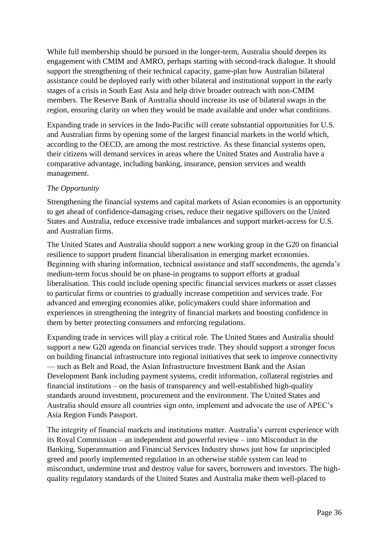While full membership should be pursued in the longer-term, Australia should deepen its engagement with CMIM and AMRO, perhaps starting with second-track dialogue. It should support the strengthening of their technical capacity, game-plan how Australian bilateral assistance could be deployed early with other bilateral and institutional support in the early stages of a crisis in South East Asia and help drive broader outreach with non-CMIM members. The Reserve Bank of Australia should increase its use of bilateral swaps in the region, ensuring clarity on when they would be made available and under what conditions.

Expanding trade in services in the Indo-Pacific will create substantial opportunities for U.S. and Australian firms by opening some of the largest financial markets in the world which, according to the OECD, are among the most restrictive. As these financial systems open, their citizens will demand services in areas where the United States and Australia have a comparative advantage, including banking, insurance, pension services and wealth management.

#### *The Opportunity*

Strengthening the financial systems and capital markets of Asian economies is an opportunity to get ahead of confidence-damaging crises, reduce their negative spillovers on the United States and Australia, reduce excessive trade imbalances and support market-access for U.S. and Australian firms.

The United States and Australia should support a new working group in the G20 on financial resilience to support prudent financial liberalisation in emerging market economies. Beginning with sharing information, technical assistance and staff secondments, the agenda's medium-term focus should be on phase-in programs to support efforts at gradual liberalisation. This could include opening specific financial services markets or asset classes to particular firms or countries to gradually increase competition and services trade. For advanced and emerging economies alike, policymakers could share information and experiences in strengthening the integrity of financial markets and boosting confidence in them by better protecting consumers and enforcing regulations.

Expanding trade in services will play a critical role. The United States and Australia should support a new G20 agenda on financial services trade. They should support a stronger focus on building financial infrastructure into regional initiatives that seek to improve connectivity — such as Belt and Road, the Asian Infrastructure Investment Bank and the Asian Development Bank including payment systems, credit information, collateral registries and financial institutions – on the basis of transparency and well-established high-quality standards around investment, procurement and the environment. The United States and Australia should ensure all countries sign onto, implement and advocate the use of APEC's Asia Region Funds Passport.

The integrity of financial markets and institutions matter. Australia's current experience with its Royal Commission – an independent and powerful review – into Misconduct in the Banking, Superannuation and Financial Services Industry shows just how far unprincipled greed and poorly implemented regulation in an otherwise stable system can lead to misconduct, undermine trust and destroy value for savers, borrowers and investors. The highquality regulatory standards of the United States and Australia make them well-placed to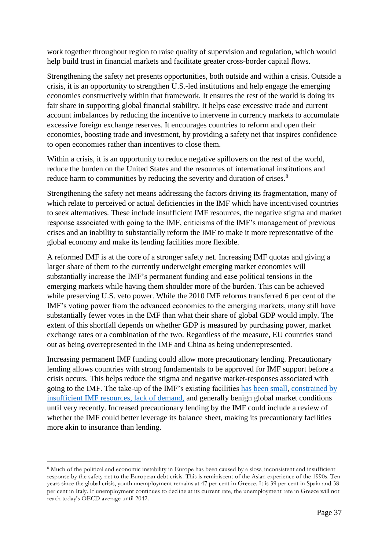work together throughout region to raise quality of supervision and regulation, which would help build trust in financial markets and facilitate greater cross-border capital flows.

Strengthening the safety net presents opportunities, both outside and within a crisis. Outside a crisis, it is an opportunity to strengthen U.S.-led institutions and help engage the emerging economies constructively within that framework. It ensures the rest of the world is doing its fair share in supporting global financial stability. It helps ease excessive trade and current account imbalances by reducing the incentive to intervene in currency markets to accumulate excessive foreign exchange reserves. It encourages countries to reform and open their economies, boosting trade and investment, by providing a safety net that inspires confidence to open economies rather than incentives to close them.

Within a crisis, it is an opportunity to reduce negative spillovers on the rest of the world, reduce the burden on the United States and the resources of international institutions and reduce harm to communities by reducing the severity and duration of crises.<sup>8</sup>

Strengthening the safety net means addressing the factors driving its fragmentation, many of which relate to perceived or actual deficiencies in the IMF which have incentivised countries to seek alternatives. These include insufficient IMF resources, the negative stigma and market response associated with going to the IMF, criticisms of the IMF's management of previous crises and an inability to substantially reform the IMF to make it more representative of the global economy and make its lending facilities more flexible.

A reformed IMF is at the core of a stronger safety net. Increasing IMF quotas and giving a larger share of them to the currently underweight emerging market economies will substantially increase the IMF's permanent funding and ease political tensions in the emerging markets while having them shoulder more of the burden. This can be achieved while preserving U.S. veto power. While the 2010 IMF reforms transferred 6 per cent of the IMF's voting power from the advanced economies to the emerging markets, many still have substantially fewer votes in the IMF than what their share of global GDP would imply. The extent of this shortfall depends on whether GDP is measured by purchasing power, market exchange rates or a combination of the two. Regardless of the measure, EU countries stand out as being overrepresented in the IMF and China as being underrepresented.

Increasing permanent IMF funding could allow more precautionary lending. Precautionary lending allows countries with strong fundamentals to be approved for IMF support before a crisis occurs. This helps reduce the stigma and negative market-responses associated with going to the IMF. The take-up of the IMF's existing facilities [has been small, constrained by](http://www.imf.org/~/media/Files/Publications/PP/2017/pp122617-review-of-adequacy-of-precautionary-balances.ashx.)  [insufficient IMF resources,](http://www.imf.org/~/media/Files/Publications/PP/2017/pp122617-review-of-adequacy-of-precautionary-balances.ashx.) lack of demand, and generally benign global market conditions until very recently. Increased precautionary lending by the IMF could include a review of whether the IMF could better leverage its balance sheet, making its precautionary facilities more akin to insurance than lending.

 $\overline{\phantom{a}}$ 

<sup>8</sup> Much of the political and economic instability in Europe has been caused by a slow, inconsistent and insufficient response by the safety net to the European debt crisis. This is reminiscent of the Asian experience of the 1990s. Ten years since the global crisis, youth unemployment remains at 47 per cent in Greece. It is 39 per cent in Spain and 38 per cent in Italy. If unemployment continues to decline at its current rate, the unemployment rate in Greece will not reach today's OECD average until 2042.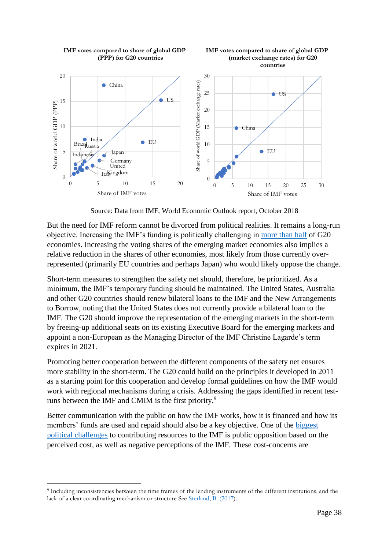

**IMF votes compared to share of global GDP**

**IMF votes compared to share of global GDP (PPP) for G20 countries**

Source: Data from IMF, World Economic Outlook report, October 2018

But the need for IMF reform cannot be divorced from political realities. It remains a long-run objective. Increasing the IMF's funding is politically challenging in [more than half](https://www.brookings.edu/research/the-dangerous-inadequacies-of-the-worlds-crisis-response-mechanisms/) of G20 economies. Increasing the voting shares of the emerging market economies also implies a relative reduction in the shares of other economies, most likely from those currently overrepresented (primarily EU countries and perhaps Japan) who would likely oppose the change.

Short-term measures to strengthen the safety net should, therefore, be prioritized. As a minimum, the IMF's temporary funding should be maintained. The United States, Australia and other G20 countries should renew bilateral loans to the IMF and the New Arrangements to Borrow, noting that the United States does not currently provide a bilateral loan to the IMF. The G20 should improve the representation of the emerging markets in the short-term by freeing-up additional seats on its existing Executive Board for the emerging markets and appoint a non-European as the Managing Director of the IMF Christine Lagarde's term expires in 2021.

Promoting better cooperation between the different components of the safety net ensures more stability in the short-term. The G20 could build on the principles it developed in 2011 as a starting point for this cooperation and develop formal guidelines on how the IMF would work with regional mechanisms during a crisis. Addressing the gaps identified in recent testruns between the IMF and CMIM is the first priority.<sup>9</sup>

Better communication with the public on how the IMF works, how it is financed and how its members' funds are used and repaid should also be a key objective. One of the [biggest](https://www.brookings.edu/research/the-dangerous-inadequacies-of-the-worlds-crisis-response-mechanisms/)  [political challenges](https://www.brookings.edu/research/the-dangerous-inadequacies-of-the-worlds-crisis-response-mechanisms/) to contributing resources to the IMF is public opposition based on the perceived cost, as well as negative perceptions of the IMF. These cost-concerns are

 $\overline{\phantom{a}}$ 

<sup>&</sup>lt;sup>9</sup> Including inconsistencies between the time frames of the lending instruments of the different institutions, and the lack of a clear coordinating mechanism or structure See [Sterland, B. \(2017\)](https://www.brookings.edu/wp-content/uploads/2017/10/workingpaper109-economicriskresilienceineastasia-10-2017.pdf.).